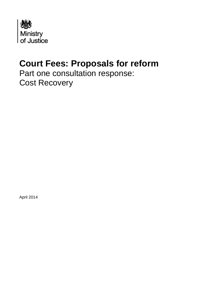

# **Court Fees: Proposals for reform**

Part one consultation response: Cost Recovery

April 2014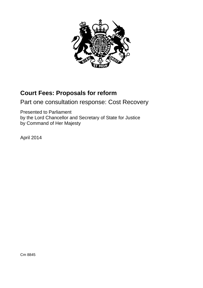

## **Court Fees: Proposals for reform**

Part one consultation response: Cost Recovery

Presented to Parliament by the Lord Chancellor and Secretary of State for Justice by Command of Her Majesty

April 2014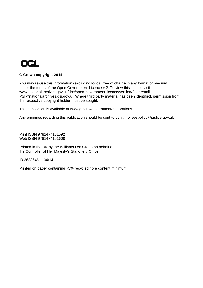

#### **© Crown copyright 2014**

You may re-use this information (excluding logos) free of charge in any format or medium, under the terms of the Open Government Licence v.2. To view this licence visit [www.nationalarchives.gov.uk/doc/open-government-licence/version/2/](http://www.nationalarchives.gov.uk/doc/open-government-licence/version/2/) or email [PSI@nationalarchives.gsi.gov.uk](mailto:PSI@nationalarchives.gsi.gov.uk) Where third party material has been identified, permission from the respective copyright holder must be sought.

This publication is available at [www.gov.uk/government/publications](http://www.gov.uk/government/publications) 

Any enquiries regarding this publication should be sent to us at [mojfeespolicy@justice.gov.uk](mailto:mojfeespolicy@justice.gov.uk) 

Print ISBN 9781474101592 Web ISBN 9781474101608

Printed in the UK by the Williams Lea Group on behalf of the Controller of Her Majesty's Stationery Office

ID 2633646 04/14

Printed on paper containing 75% recycled fibre content minimum.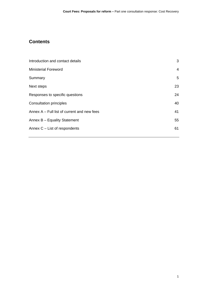## **Contents**

| Introduction and contact details            | 3  |
|---------------------------------------------|----|
| <b>Ministerial Foreword</b>                 | 4  |
| Summary                                     | 5  |
| Next steps                                  | 23 |
| Responses to specific questions             | 24 |
| <b>Consultation principles</b>              | 40 |
| Annex A – Full list of current and new fees | 41 |
| Annex B - Equality Statement                | 55 |
| Annex C - List of respondents               | 61 |
|                                             |    |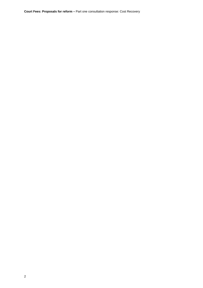**Court Fees: Proposals for reform –** Part one consultation response: Cost Recovery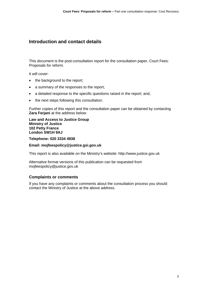## <span id="page-5-0"></span>**Introduction and contact details**

This document is the post-consultation report for the consultation paper, Court Fees: Proposals for reform.

It will cover:

- the background to the report;
- a summary of the responses to the report;
- a detailed response to the specific questions raised in the report; and,
- the next steps following this consultation.

Further copies of this report and the consultation paper can be obtained by contacting **Zara Ferjani** at the address below:

**Law and Access to Justice Group Ministry of Justice 102 Petty France London SW1H 9AJ** 

**Telephone: 020 3334 4938** 

**Email: [mojfeespolicy@justice.gsi.gov.uk](mailto:mojfeespolicy@justice.gsi.gov.uk)** 

This report is also available on the Ministry's website: [http://www.justice.gov.uk](http://www.justice.gov.uk/) 

Alternative format versions of this publication can be requested from [mojfeespolicy@justice.gov.uk](mailto:mojfeespolicy@justice.gov.uk) 

#### **Complaints or comments**

If you have any complaints or comments about the consultation process you should contact the Ministry of Justice at the above address.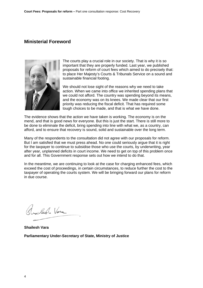## <span id="page-6-0"></span>**Ministerial Foreword**



The courts play a crucial role in our society. That is why it is so important that they are properly funded. Last year, we published proposals for reform of court fees which aimed to do precisely that: to place Her Majesty's Courts & Tribunals Service on a sound and sustainable financial footing.

We should not lose sight of the reasons why we need to take action. When we came into office we inherited spending plans that we could not afford. The country was spending beyond its means, and the economy was on its knees. We made clear that our first priority was reducing the fiscal deficit. That has required some tough choices to be made, and that is what we have done.

The evidence shows that the action we have taken is working. The economy is on the mend, and that is good news for everyone. But this is just the start. There is still more to be done to eliminate the deficit, bring spending into line with what we, as a country, can afford, and to ensure that recovery is sound, solid and sustainable over the long term.

Many of the respondents to the consultation did not agree with our proposals for reform. But I am satisfied that we must press ahead. No one could seriously argue that it is right for the taxpayer to continue to subsidise those who use the courts, by underwriting, year after year, unplanned deficits in court income. We need to get on top of this problem once and for all. This Government response sets out how we intend to do that.

In the meantime, we are continuing to look at the case for charging enhanced fees, which exceed the cost of proceedings, in certain circumstances, to reduce further the cost to the taxpayer of operating the courts system. We will be bringing forward our plans for reform in due course.

lah Vara

**Shailesh Vara Parliamentary Under-Secretary of State, Ministry of Justice**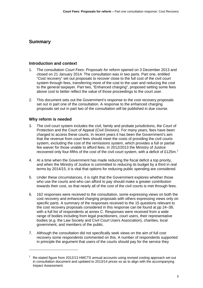## <span id="page-7-0"></span>**Summary**

#### **Introduction and context**

- 1. The consultation *Court Fees: Proposals for reform* opened on 3 December 2013 and closed on 21 January 2014. The consultation was in two parts. Part one, entitled "Cost recovery" set out proposals to recover close to the full cost of the civil court system through fees, transferring more of the cost to the user and reducing the cost to the general taxpayer. Part two, "Enhanced charging", proposed setting some fees above cost to better reflect the value of those proceedings to the court user.
- 2. This document sets out the Government's response to the cost recovery proposals set out in part one of the consultation. A response to the enhanced charging proposals set out in part two of the consultation will be published in due course.

#### **Why reform is needed**

1

- 3. The civil court system includes the civil, family and probate jurisdictions, the Court of Protection and the Court of Appeal (Civil Division). For many years, fees have been charged to access these courts. In recent years it has been the Government's aim that the revenue from court fees should meet the costs of providing the civil courts system, excluding the cost of the remissions system, which provides a full or partial fee waiver for those unable to afford fees. In 2012/2013 the Ministry of Justice recovered only four-fifths of the cost of the civil court system, with a deficit of £[1](#page-7-1)25m.<sup>1</sup>
- 4. At a time when the Government has made reducing the fiscal deficit a top priority, and when the Ministry of Justice is committed to reducing its budget by a third in real terms by 2014/15, it is vital that options for reducing public spending are considered.
- 5. Under these circumstances, it is right that the Government explores whether those who use the courts and who can afford to pay should make a greater contribution towards their cost, so that nearly all of the cost of the civil courts is met through fees.
- 6. 162 responses were received to the consultation, some expressing views on both the cost recovery and enhanced charging proposals with others expressing views only on specific parts. A summary of the responses received to the 15 questions relevant to the cost recovery proposals considered in this response can be found at pp 24–39, with a full list of respondents at annex C. Responses were received from a wide range of bodies including from legal practitioners, court users, their representative bodies (e.g. the Law Society and Civil Court Users Association), charities, local government, and members of the public.
- 7. Although the consultation did not specifically seek views on the aim of full cost recovery some respondents commented on this. A number of respondents supported in principle the argument that users of the courts should pay for the service they

<span id="page-7-1"></span><sup>1</sup> Re-stated figure from 2012/13 HMCTS annual accounts using revised costing approach set out in consultation document and updated to 2013/14 prices so as to align with the accompanying Impact Assessment.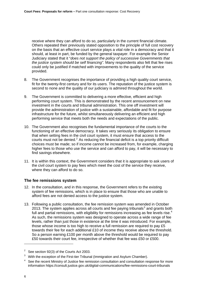receive where they can afford to do so, particularly in the current financial climate. Others repeated their previously stated opposition to the principle of full cost recovery on the basis that an effective court service plays a vital role in a democracy and that it should, at least in part, be funded by the general taxpayer. For example the Senior Judiciary stated that it "*does not support the policy of successive Governments that the justice system should be self financing".* Many respondents also felt that fee rises could only be justified if matched with improvements to the quality of the service provided.

- 8. The Government recognises the importance of providing a high quality court service, fit for the twenty-first century and for its users. The reputation of the justice system is second to none and the quality of our judiciary is admired throughout the world.
- 9. The Government is committed to delivering a more effective, efficient and high performing court system. This is demonstrated by the recent announcement on new investment in the courts and tribunal administration. This one off investment will provide the administration of justice with a sustainable, affordable and fit for purpose infrastructure for the future, whilst simultaneously delivering an efficient and high performing service that meets both the needs and expectations of the public.
- 10. The Government also recognises the fundamental importance of the courts to the functioning of an effective democracy. It takes very seriously its obligation to ensure that when setting fees in the civil court system, it must ensure that access to the courts must not be denied. $2$  As reducing the financial deficit is a top priority difficult choices must be made; so if income cannot be increased from, for example, charging higher fees to those who use the service and can afford to pay, it will be necessary to find savings elsewhere.
- 11. It is within this context, the Government considers that it is appropriate to ask users of the civil court system to pay fees which meet the cost of the service they receive, where they can afford to do so.

#### **The fee remissions system**

- 12. In the consultation, and in this response, the Government refers to the existing system of fee remissions, which is in place to ensure that those who are unable to afford fees are not denied access to the justice system.
- 13. Following a public consultation, the fee remission system was amended in October 201[3](#page-8-1). The system applies across all courts and fee paying tribunals $3$  and grants both full and partial remissions, with eligibility for remissions increasing as fee levels rise. $4$ As such, the remissions system was designed to operate across a wide range of fee levels, rather than just those in existence at the time it was introduced. For example, those whose income is too high to receive a full remission are required to pay £5 towards their fee for each additional £10 of income they receive above the threshold. So a person earning £100 per month above the threshold would be required to pay £50 towards their court fee, irrespective of whether that fee was £50 or £500.

-

<span id="page-8-0"></span><sup>&</sup>lt;sup>2</sup> See section 92(3) of the Courts Act 2003.

<span id="page-8-1"></span> $3$  With the exception of the First-tier Tribunal (Immigration and Asylum Chamber).

<span id="page-8-2"></span><sup>4</sup> See the recent Ministry of Justice fee remission consultation and consultation response for more information https://consult.justice.gov.uk/digital-communications/fee-remissions-court-tribunals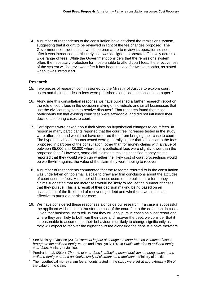14. A number of respondents to the consultation have criticised the remissions system, suggesting that it ought to be reviewed in light of the fee changes proposed. The Government considers that it would be premature to review its operation so soon after it was introduced, particularly as it was designed to operate effectively across a wide range of fees. While the Government considers that the remissions system offers the necessary protection for those unable to afford court fees, the effectiveness of the system will be reviewed after it has been in place for twelve months, as stated when it was introduced.

#### **Research**

1

- 15. Two pieces of research commissioned by the Ministry of Justice to explore court users and their attitudes to fees were published alongside the consultation paper.<sup>[5](#page-9-0)</sup>
- 16. Alongside this consultation response we have published a further research report on the role of court fees in the decision-making of individuals and small businesses that use the civil court system to resolve disputes.<sup>[6](#page-9-1)</sup> That research found that most participants felt that existing court fees were affordable, and did not influence their decisions to bring cases to court.
- 17. Participants were asked about their views on hypothetical changes to court fees. In response many participants reported that the court fee increases tested in the study were affordable and would not have deterred them from bringing their case to court. The hypothetical fee amounts tested were generally higher than or similar to the fees proposed in part one of the consultation, other than for money claims with a value of between £5,000 and £8,000 where the hypothetical fees were slightly lower than the proposed fees.<sup>[7](#page-9-2)</sup> However, some civil claimants making specified money claims reported that they would weigh up whether the likely cost of court proceedings would be worthwhile against the value of the claim they were hoping to recover.
- 18. A number of respondents commented that the research referred to in the consultation was undertaken on too small a scale to draw any firm conclusions about the attitudes of court users to fees. A number of business users of the bulk centre for money claims suggested that fee increases would be likely to reduce the number of cases that they pursue. This is a result of their decision making being based on an assessment of the likelihood of recovering a debt and whether it would be cost effective to pursue a particular case.
- 19. We have considered these responses alongside our research. If a case is successful the applicant will be able to transfer the cost of the court fee to the defendant in costs. Given that business users tell us that they will only pursue cases as a last resort and where they are likely to both win their case and recover the debt, we consider that it is reasonable to assume that their behaviour is unlikely to change significantly as they will expect to recover the higher court fee alongside the debt. We have therefore

<span id="page-9-0"></span><sup>5</sup> See Ministry of Justice (2013) *Potential impact of changes to court fees on volumes of cases brought to the civil and family courts* and Franklyn R, (2013) *Public attitudes to civil and family court fees*, Ministry of Justice.

<span id="page-9-1"></span><sup>6</sup> Pereira I, et al, (2014), *The role of court fees in affecting users' decisions to bring cases to the civil and family courts: a qualitative study of claimants and applicants, Ministry of Justice.* 

<span id="page-9-2"></span>The hypothetical money claim fee amounts tested in the study were set at approximately 5% of the value of the claim.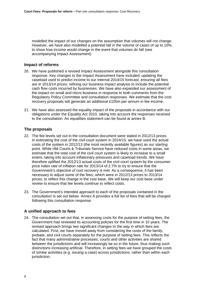modelled the impact of our changes on the assumption that volumes will not change. However, we have also modelled a potential fall in the volume of cases of up to 10%, to show how income would change in the event that volumes do fall (see accompanying Impact Assessment).

#### **Impact of reforms**

- 20. We have published a revised Impact Assessment alongside this consultation response. Key changes to the Impact Assessment have included; updating the caseload used to predict income to our internal 2014/15 forecast; ensuring all fees are in 2013/14 prices; refining our business impact analysis to include the potential cash flow costs incurred by businesses. We have also expanded our assessment of the impact on small and micro business in response to both comments from the Regulatory Policy Committee and consultation responses. We estimate that the cost recovery proposals will generate an additional £105m per annum in fee income.
- 21. We have also assessed the equality impact of the proposals in accordance with our obligations under the Equality Act 2010, taking into account the responses received to the consultation. An equalities statement can be found at annex B.

#### **The proposals**

- 22. The fee levels set out in the consultation document were stated in 2012/13 prices. In estimating the cost of the civil court system in 2014/15, we have used the actual costs of the system in 2012/13 (the most recently available figures) as our starting point. While HM Courts & Tribunals Service have reduced costs in some areas, we estimate that the total cost of the civil court system is likely to increase to a small extent, taking into account inflationary pressures and caseload trends. We have therefore uplifted the 2012/13 actual costs of the civil court system by the consumer price index rate of inflation rate for 2013/14 of 2.7% to try to ensure that the Government's objective of cost recovery is met. As a consequence, it has been necessary to adjust some of the fees, which were in 2012/13 prices to 2013/14 prices, to reflect this change in the cost base. We will keep our cost base under review to ensure that fee levels continue to reflect costs.
- 23. The Government's intended approach to each of the proposals contained in the consultation is set out below. Annex A provides a full list of fees that will be charged following this consultation response.

#### **A unified approach to fees**

24. The consultation set out that, in assessing costs for the purpose of setting fees, the Government had reviewed its accounting policies for the first time in 10 years. The revised approach brings two significant changes to the way in which fees are calculated. First, we have moved away from considering the costs of the family, probate, and civil courts separately for the purpose of setting fees. This reflects the fact that many administrative processes, courts and other activities are shared between the jurisdictions and will increasingly be so in the future, thus making such distinctions increasing artificial. Therefore, in setting fees we have grouped the costs of similar activities (e.g. issuing a case) across jurisdictions, rather than within each jurisdiction.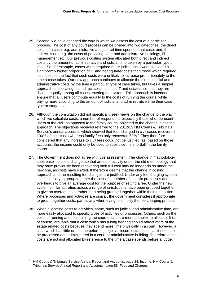- 25. Second, we have changed the way in which we assess the cost of a particular process. The cost of any court process can be divided into two categories: the direct costs of a case, e.g. administrative and judicial time spent on that case; and, the indirect costs, e.g. the costs of providing court and administrative buildings, IT, management etc. Our previous costing system allocated both direct and indirect costs by the amount of administrative and judicial time taken by a particular type of case. So, for example, cases which required more judicial time were allocated a significantly higher proportion of IT and headquarter costs than those which required less, despite the fact that such costs were unlikely to increase proportionately to the time a case takes. Our new approach continues to allocate the direct judicial and administrative costs by the time a particular type of case takes, but takes a simpler approach to allocating the indirect costs such as IT and estates, so that they are divided equally among all cases entering the system. This approach is intended to ensure that all users contribute equally to the costs of running the courts, while paying more according to the amount of judicial and administrative time their case type or stage takes.
- 26. Although the consultation did not specifically seek views on the change to the way in which we calculate costs, a number of respondent, especially those who represent users of the civil, as opposed to the family courts, objected to the change in costing approach. The objections received referred to the 2012/13 HM Courts & Tribunals Service's annual accounts which showed that fees charged in civil cases recovered 100% of their costs whereas family fees only recovered 50%.<sup>[8](#page-11-0)</sup> They therefore considered that any increase to civil fees could not be justified, as, based on those accounts, the income could only be used to subsidise the shortfall in the family courts.
- 27. The Government does not agree with this assessment. The change in methodology sees baseline costs change, so that areas of activity under the old methodology that may have previously been recovering their full cost may no longer do so under the new one, as costs have shifted. It therefore deems that the change in costing approach and the resulting fee changes are justified. Under any fee charging system it is necessary to group together the cost of a number of specific processes and overheads to give an average cost for the purpose of setting a fee. Under the new system similar activities across a range of jurisdictions have been grouped together to give an average cost, rather than being grouped together within their jurisdiction. Where processes and activities are similar, the government considers it appropriate to group together costs, particularly when trying to simplify the fee charging process.
- 28. When allocating costs to activities, some, such as judicial and administrative time, are more easily allocated to specific types of activities or processes. Others, such as the costs of running and maintaining the court estate are more complex to allocate. It is, of course, arguable that a case which has a long hearing should attract more of the estate related costs because they spend more time physically in a court. However, a case which has little or no time before a judge still incurs estate costs as it needs to be processed and administered in a court or administrative building. Therefore estate costs are not just allocated by reference to the time a case spends before a judge.

-

<span id="page-11-0"></span><sup>8</sup> HM Courts & Tribunals Service Annual Report and Accounts, page 24, Income; HM Courts & Tribunals Service Annual Report and Accounts, page 86, Fees and Charges.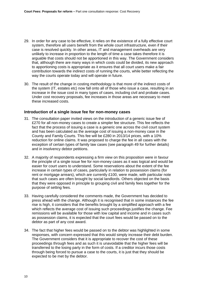- 29. In order for any case to be effective, it relies on the existence of a fully effective court system, therefore all users benefit from the whole court infrastructure, even if their case is resolved quickly. In other areas, IT and management overheads are very unlikely to increase in proportion to the length of time a case takes therefore it is arguable that costs should not be apportioned in this way. The Government considers that, although there are many ways in which costs could be divided, its new approach to apportioning costs is appropriate as it ensures that all court users make a fair contribution towards the indirect costs of running the courts, while better reflecting the way the courts operate today and will operate in future.
- 30. The result of the change in costing methodology is that more of the indirect costs of the system (IT, estates etc) now fall onto all of those who issue a case, resulting in an increase in the issue cost in many types of cases, including civil and probate cases. Under cost recovery proposals, fee increases in those areas are necessary to meet these increased costs.

#### **Introduction of a single issue fee for non-money cases**

- 31. The consultation paper invited views on the introduction of a generic issue fee of £270 for all non-money cases to create a simpler fee structure. This fee reflects the fact that the process of issuing a case is a generic one across the civil court system and has been calculated as the average cost of issuing a non-money case in the County and Family Courts. This fee will be £280 in 2013/14 prices, with a 10% reduction for online claims. It was proposed to charge the fee in all cases with the exception of certain types of family law cases (see paragraph 49 for further details) and in insolvency debtor petitions.
- 32. A majority of respondents expressing a firm view on this proposition were in favour the principle of a single issue fee for non-money cases as it was logical and would be easier for court users to understand. Some reservations about the extent of the fee increase in certain types of cases, particularly in relation to possession claims (for rent or mortgage arrears), which are currently £100, were made, with particular note that such cases are often brought by social landlords. Others objected on the basis that they were opposed in principle to grouping civil and family fees together for the purpose of setting fees.
- 33. Having carefully considered the comments made, the Government has decided to press ahead with the change. Although it is recognised that in some instances the fee rise is high, it considers that the benefits brought by a simplified approach with a fee which reflects the average cost of issuing such proceedings justifies the change. Fee remissions will be available for those with low capital and income and in cases such as possession claims, it is expected that the court fees would be passed on to the debtor as part of any cost award.
- 34. The fact that higher fees would be passed on to the debtor was highlighted in some responses, with concern expressed that this would simply increase their debt burden. The Government considers that it is appropriate to recover the cost of these proceedings through fees and as such it is unavoidable that the higher fees will be transferred to the losing party in the form of costs. If a creditor incurs those costs through being forced to pursue a case to the courts, it is just that they should be expected to be met by the debtor.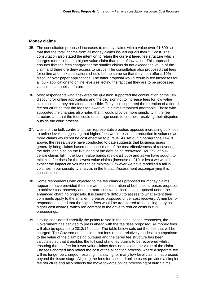#### **Money claims**

- 35. The consultation proposed increases to money claims with a value over £1,500 so that that the total income from all money claims issued equals their full cost. The consultation also stated the intention to retain the current tiered fee structure which charges more to issue a higher value claim than one of low value. This approach ensures that the fees charged for the smaller claims do not exceed the value of the claim and therefore deny access to justice. The consultation also proposed that fees for online and bulk applications should be the same so that they both offer a 10% discount over paper applications. The latter proposal would result in fee increases for all bulk applications to online levels reflecting the fact that they are to be processed via online channels in future.
- 36. Most respondents who answered the question supported the continuation of the 10% discount for online applications and the decision not to increase fees for low value claims so that they remained accessible. They also supported the retention of a tiered fee structure so that the fees for lower value claims remained affordable. Those who supported the changes also noted that it would provide more simplicity in the fee structure and that the fees could encourage users to consider resolving their disputes outside the court process.
- 37. Users of the bulk centre and their representative bodies opposed increasing bulk fees to online levels, suggesting that higher fees would result in a reduction in volumes as more claims would not be cost effective to pursue. As set out in paragraphs 14–18 above, the research we have conducted to date suggests that business users generally bring claims based on assessment of the cost effectiveness of recovering the debt, and also on the likelihood of the debt being recovered. As 77% of bulk centre claims fall in the lower value bands (below £1,500) and as we have sought to minimise fee rises for the lowest value claims (increase of £10 or less) we would expect the impact on volumes to be minimal. However we have modelled a fall in volumes in our sensitivity analysis in the Impact Assessment accompanying this consultation.
- 38. Some respondents who objected to the fee changes proposed for money claims appear to have provided their answer in consideration of both the increases proposed to achieve cost recovery and the more substantial increases proposed under the enhanced charging proposals. It is therefore difficult to assess to what extent their comments apply to the smaller increases proposed under cost recovery. A number of respondents noted that the higher fees would be transferred to the losing party as higher cost awards, which ran contrary to the drive to reduce costs in civil proceedings.
- 39. Having considered carefully the points raised in the consultation responses, the Government has decided to press ahead with the fee rises proposed. All money fees will also be updated to 2013/14 prices. The table below sets out the fees that will be charged. The Government consider that fees remain relatively modest in comparison to the value of the claim being pursued and the tiered fee structure has been calculated so that it enables the full cost of money claims to be recovered whilst ensuring that the fee for lower value claims does not exceed the value of the claim. The fees charged also reflect the cost of the allocation process, where a separate fee will no longer be charged, resulting in a saving for many low level claims that proceed beyond the issue stage. Aligning the fees for bulk and online users provides a simpler fee structure and also reflects the move towards online processing of bulk claims.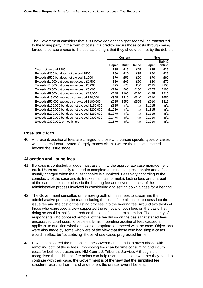The Government considers that it is unavoidable that higher fees will be transferred to the losing party in the form of costs. If a creditor incurs those costs through being forced to pursue a case to the courts, it is right that they should be met by the debtor.

|                                               | <b>Current</b> |             |        | <b>New</b> |                             |
|-----------------------------------------------|----------------|-------------|--------|------------|-----------------------------|
|                                               | Paper          | <b>Bulk</b> | Online | Paper      | <b>Bulk &amp;</b><br>online |
| Does not exceed £300                          | £35            | £15         | £25    | £35        | £25                         |
| Exceeds £300 but does not exceed £500         | £50            | £30         | £35    | £50        | £35                         |
| Exceeds £500 but does not exceed £1,000       | £70            | £55         | £60    | £70        | £60                         |
| Exceeds £1,000 but does not exceed £1,500     | £80            | £65         | £70    | £80        | £70                         |
| Exceeds £1,500 but does not exceed £3,000     | £95            | £75         | £80    | £115       | £105                        |
| Exceeds £3,000 but does not exceed £5,000     | £120           | £85         | £100   | £205       | £185                        |
| Exceeds £5,000 but does not exceed £15,000    | £245           | £190        | £210   | £445       | £410                        |
| Exceeds £15,000 but does not exceed £50,000   | £395           | £310        | £340   | £610       | £550                        |
| Exceeds £50,000 but does not exceed £100,000  | £685           | £550        | £595   | £910       | £815                        |
| Exceeds £100,000 but does not exceed £150,000 | £885           | n/a         | n/a    | £1,115     | n/a                         |
| Exceeds £150,000 but does not exceed £200,000 | £1,080         | n/a         | n/a    | £1,315     | n/a                         |
| Exceeds £200,000 but does not exceed £250,000 | £1,275         | n/a         | n/a    | £1,515     | n/a                         |
| Exceeds £250,000 but does not exceed £300,000 | £1,475         | n/a         | n/a    | £1,720     | n/a                         |
| Exceeds £300,000, or not limited              | £1,670         | n/a         | n/a    | £1,920     | n/a                         |

#### **Post-issue fees**

40. At present, additional fees are charged to those who pursue specific types of cases within the civil court system (largely money claims) where their cases proceed beyond the issue stage.

#### **Allocation and listing fees**

- 41. If a case is contested, a judge must assign it to the appropriate case management track. Users are usually required to complete a directions questionnaire and a fee is usually charged when the questionnaire is submitted. Fees vary according to the complexity of the case and its track (small, fast or multi). Listing fees are charged at the same time as, or close to the hearing fee and covers the cost of the administrative process involved in considering and setting down a case for a hearing.
- 42. The Government consulted on removing both of these fees to streamline the administrative process, instead including the cost of the allocation process into the issue fee and the cost of the listing process into the hearing fee. Around two thirds of those who expressed a view supported the removal of both fees on the basis that doing so would simplify and reduce the cost of case administration. The minority of respondents who opposed removal of the fee did so on the basis that staged fees encouraged court users to settle early, as impending additional fees caused an applicant to question whether it was appropriate to proceed with the case. Objections were also made by some who were of the view that those who had simple cases would in effect be "subsidising" those whose cases progressed further.
- 43. Having considered the responses, the Government intends to press ahead with removing both of these fees. Processing fees can be time consuming and incurs costs for both court users and HM Courts & Tribunals Service. Although it is recognised that additional fee points can help users to consider whether they need to continue with their case, the Government is of the view that the simplified fee structure resulting from this change offers the greater overall benefits.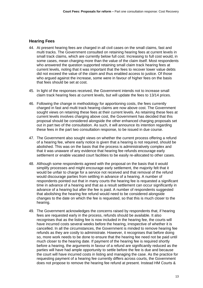#### **Hearing Fees**

- 44. At present hearing fees are charged in all civil cases on the small claims, fast and multi tracks. The Government consulted on retaining hearing fees at current levels in small track claims, which are currently below full cost. Increasing to full cost would, in some cases, mean charging more than the value of the claim itself. Most respondents who answered the question supported retaining small claim track hearing fees at current levels, noting that it was important that the fees to recover lower value debts did not exceed the value of the claim and thus enabled access to justice. Of those who argued against the increase, some were in favour of higher fees on the basis that fees should be set at cost.
- 45. In light of the responses received, the Government intends not to increase small claim track hearing fees at current levels, but will update the fees to 13/14 prices.
- 46. Following the change in methodology for apportioning costs, the fees currently charged in fast and multi track hearing claims are now above cost. The Government sought views on retaining these fees at their current levels. As retaining these fees at current levels involves charging above cost, the Government has decided that this proposal should be considered alongside the other enhanced charging proposals set out in part two of the consultation. As such, it will announce its intention regarding these fees in the part two consultation response, to be issued in due course.
- 47. The Government also sought views on whether the current process offering a refund of a hearing fee, where early notice is given that a hearing is not required, should be abolished. This was on the basis that the process is administratively complex and that it was unaware of any evidence that hearing fee refunds encourage early settlement or enable vacated court facilities to be easily re-allocated to other cases.
- 48. Although some respondents agreed with the proposal on the basis that it would simplify processes and might encourage early settlement, the majority felt that it would be unfair to charge for a service not received and that removal of the refund would discourage parties from settling in advance of a hearing. A number of respondents pointed out that in many courts the hearing fee is requested a significant time in advance of a hearing and that as a result settlement can occur significantly in advance of a hearing but after the fee is paid. A number of respondents suggested that abolishing the hearing fee refund would need to be considered alongside changes to the date on which the fee is requested, so that this is much closer to the hearing.
- 49. The Government acknowledges the concerns raised by respondents that, if hearing fees are requested early in the process, refunds should be available. It also recognises that as the listing fee is now included in the hearing fee, the courts will have incurred costs several weeks before the hearing, irrespective of whether it is cancelled. In all the circumstances, the Government is minded to remove hearing fee refunds as they are costly to administrate. However, it recognises that before doing so, more work needs to be done to ensure that the hearing fee need not be paid until much closer to the hearing date. If payment of the hearing fee is required shortly before a hearing, the arguments in favour of a refund are significantly reduced as the parties will have had ample opportunity to settle before the fee is due and because the court will have incurred costs in listing and managing the case. As the practice for requesting payment of a hearing fee currently differs across courts, the Government does not propose to remove the hearing fee refund at present. Instead HM Courts &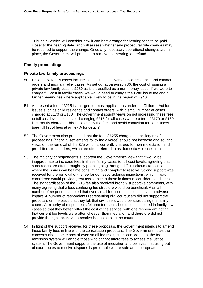Tribunals Service will consider how it can best arrange for hearing fees to be paid closer to the hearing date, and will assess whether any procedural rule changes may be required to support the change. Once any necessary operational changes are in place, the Government will proceed to remove the hearing fee refund.

#### **Family proceedings**

#### **Private law family proceedings**

- 50. Private law family cases include issues such as divorce, child residence and contact orders and ancillary relief cases. As set out at paragraph 30, the cost of issuing a private law family case is £280 as it is classified as a non-money issue. If we were to charge full cost in family cases, we would need to charge the £280 issue fee and a further hearing fee where applicable, likely to be in the region of £940.
- 51. At present a fee of £215 is charged for most applications under the Children Act for issues such as child residence and contact orders, with a small number of cases charged at £170 or £180. The Government sought views on not increasing these fees to full cost levels, but instead charging £215 for all cases where a fee of £170 or £180 is currently charged. This is to simplify the fees and avoid confusion for court users (see full list of fees at annex A for details).
- 52. The Government also proposed that the fee of £255 charged in ancillary relief proceedings (financial settlements following divorce) should not increase and sought views on the removal of the £75 which is currently charged for non-molestation and prohibited steps orders, which are often referred to as domestic violence injunctions.
- 53. The majority of respondents supported the Government's view that it would be inappropriate to increase fees in these family cases to full cost levels, agreeing that such cases are often brought by people going through difficult circumstances, and where the issues can be time consuming and complex to resolve. Strong support was received for the removal of the fee for domestic violence injunctions, which it was considered would provide great assistance to those in times of considerable distress. The standardisation of the £215 fee also received broadly supportive comments, with many agreeing that a less confusing fee structure would be beneficial. A small number of respondents noted that even small fee increases could have an adverse impact. A number of respondents representing civil court users did not support the proposals on the basis that they felt that civil users would be subsidising the family courts. A minority of respondents felt that fee rises should be considered in family law cases so that they better reflect the cost of the service, with one respondent noting that current fee levels were often cheaper than mediation and therefore did not provide the right incentive to resolve issues outside the courts.
- 54. In light of the support received for these proposals, the Government intends to amend these family fees in line with the consultation proposals. The Government notes the concerns about the impact of even small fee rises, but is confident that the fee remission system will enable those who cannot afford fees to access the justice system. The Government supports the use of mediation and believes that using out of court routes to resolve disputes is preferable where safe and appropriate.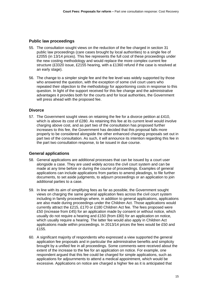#### **Public law proceedings**

- 55. The consultation sought views on the reduction of the fee charged in section 31 public law proceedings (care cases brought by local authorities) to a single fee of £2055 (in 13/14 prices). This fee represents the full cost of these proceedings under the new costing methodology and would replace the more complex current fee structure (£3320 issue, £2155 hearing, with a £1360 refund if the case is resolved at an early stage).
- 56. The change to a simpler single fee and the fee level was widely supported by those who answered the question, with the exception of some civil court users who repeated their objection to the methodology for apportioning costs in response to this question. In light of the support received for this fee change and the administrative advantages it provides both for the courts and for local authorities, the Government will press ahead with the proposed fee.

#### **Divorce**

57. The Government sought views on retaining the fee for a divorce petition at £410, which is above its cost of £280. As retaining this fee at its current level would involve charging above cost, and as part two of the consultation has proposed further increases to this fee, the Government has decided that this proposal falls more properly to be considered alongside the other enhanced charging proposals set out in part two of the consultation. As such, it will announce its intention regarding this fee in the part two consultation response, to be issued in due course.

#### **General applications**

- 58. General applications are additional processes that can be issued by a court user alongside a case. They are used widely across the civil court system and can be made at any time before or during the course of proceedings. Examples of general applications can include applications from parties to amend pleadings, to file further documents, to set aside judgments, to adjourn proceedings or an application to join additional parties to a case.
- 59. In line with its aim of simplifying fees as far as possible, the Government sought views on charging the same general application fees across the civil court system including in family proceedings where, in addition to general applications, applications are also made during proceedings under the Children Act. Those applications would currently attract the £215, £170 or £180 Children Act fee. The fees proposed were £50 (increase from £45) for an application made by consent or without notice, which usually do not require a hearing and £150 (from £80) for an application on notice, which usually require a hearing. The latter fee would also apply in Children Act applications made within proceedings. In 2013/14 prices the fees would be £50 and £155.
- 60. A significant majority of respondents who expressed a view supported the general application fee proposals and in particular the administrative benefits and simplicity brought by a unified fee in all proceedings. Some comments were received about the extent of the increase to the fee for an application on notice. For example, one respondent argued that this fee could be charged for simple applications, such as applications for adjournments to attend a medical appointment, which would be excessive. Applications on notice are charged a higher fee as it is anticipated that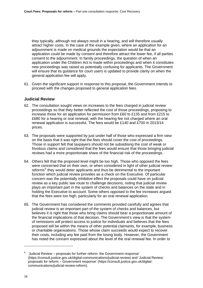they typically, although not always result in a hearing, and will therefore usually attract higher costs. In the case of the example given, where an application for an adjournment is made on medical grounds the expectation would be that an application could be made by consent and therefore attract the lower fee, if all parties consent to the adjournment. In family proceedings, the question of when an application under the Children Act is made within proceedings and when it constitutes new proceedings was raised as potentially confusing for applicants. The Government will ensure that its guidance for court users is updated to provide clarity on when the general application fee will apply.

61. Given the significant support in response to this proposal, the Government intends to proceed with the changes proposed to general application fees.

#### **Judicial Review**

- 62. The consultation sought views on increases to the fees charged in judicial review proceedings so that they better reflected the cost of those proceedings, proposing to increase those for an application for permission from £60 to £135 and from £215 to £680 for a hearing or oral renewal, with the hearing fee not charged where an oral renewal application is successful. The fees would be £140 and £700 in 2013/14 prices.
- 63. The proposals were supported by just under half of those who expressed a firm view on the basis that it was right that the fees should cover the cost of proceedings. Those in support felt that taxpayers should not be subsidising the cost of weak or frivolous claims and considered that the fees would ensure that those bringing judicial reviews had a more proportionate share of the financial risk of the proceedings.
- 64. Others felt that the proposed level might be too high. Those who opposed the fees were concerned that on their own, or when considered in light of other judicial review reforms<sup>[9](#page-18-0)</sup> they would deter applicants and thus be detrimental to the important function which judicial review provides as a check on the Executive. Of particular concern was the potentially inhibitive effect the proposals could have on judicial review as a key public law route to challenge decisions, noting that judicial review plays an important part in the system of checks and balances on the state and in holding the Executive to account. Some others opposed to the fee increases argued that the fees were too high, particularly for an oral renewal application.
- 65. The Government has considered the comments provided carefully and agrees that judicial review is an important part of the system of checks and balances, but believes it is right that those who bring claims should bear a proportionate amount of the financial implications of that decision. The Government's view is that the system of remissions will protect access to justice for individuals and believes that the fees proposed will be within the means of other potential claimants, for example, business or charitable organisations. Those whose claim succeeds would expect to recover their costs, including any fee paid from the losing body. However, the Government has noted the concern expressed about the level of the oral renewal fee. In order to

-

<span id="page-18-0"></span> $9$  'Judicial Review – proposals for further reform: the Government response' ([https://consult.justice.gov.uk/digital-communications/judicial-review\)](https://consult.justice.gov.uk/digital-communications/judicial-review) and 'Judicial Review: proposals for reform – Government response' (https://consult.justice.gov.uk/digitalcommunications/judicial-review-reform).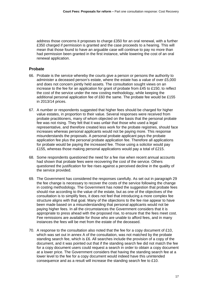address those concerns it proposes to charge £350 for an oral renewal, with a further £350 charged if permission is granted and the case proceeds to a hearing. This will mean that those found to have an arguable case will continue to pay no more than had permission been granted in the first instance, while lowering the cost of an oral renewal application.

#### **Probate**

- 66. Probate is the service whereby the courts give a person or persons the authority to administer a deceased person's estate, where the estate has a value of over £5,000 and does not concern jointly held assets. The consultation sought views on an increase to the fee for an application for grant of probate from £45 to £150, to reflect the cost of the service under the new costing methodology, while keeping the additional personal application fee of £60 the same. The probate fee would be £155 in 2013/14 prices.
- 67. A number or respondents suggested that higher fees should be charged for higher value estates, in proportion to their value. Several responses were received from probate practitioners, many of whom objected on the basis that the personal probate fee was not rising. They felt that it was unfair that those who used a legal representative, and therefore created less work for the probate registries, should face increases whereas personal applicants would not be paying more. This response misunderstands the proposals. A personal probate applicant pays the probate application fee plus the personal probate application fee. Therefore all applications for probate would be paying the increased fee. Those using a solicitor would pay £155, whereas those making personal applications would pay a total of £215.
- 68. Some respondents questioned the need for a fee rise when recent annual accounts had shown that probate fees were recovering the cost of the service. Others questioned the justification for fee rises against a perceived decline in the quality of the service provided.
- 69. The Government has considered the responses carefully. As set out in paragraph 29 the fee change is necessary to recover the costs of the service following the change in costing methodology. The Government has noted the suggestion that probate fees should rise according to the value of the estate, but as one of the objectives of the consultation is to simplify fees, it does not feel that introducing a more complex fee structure aligns with that goal. Many of the objections to the fee rise appear to have been made based on a misunderstanding that personal applicants would not be paying higher fees. In all the circumstances the Government considers that it is appropriate to press ahead with the proposed rise, to ensure that the fees meet cost. Fee remissions are available for those who are unable to afford fees, and in many instances the fees will be met from the estate of the deceased.
- 70. A response to the consultation also noted that the fee for a copy document of £10, which was set out in annex A of the consultation, was not matched by the probate standing search fee, which is £6. All searches include the provision of a copy of the document, and it was pointed out that if the standing search fee did not match the fee for a copy document users could request a search in order to obtain a copy document at a lower price. The Government considers that having the standing search fee at a lower level to the fee for a copy document would indeed have this unintended consequence and as a result will increase the standing search fee to £10.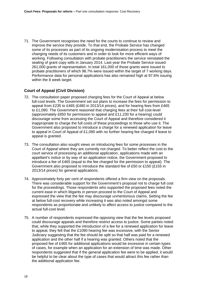71. The Government recognises the need for the courts to continue to review and improve the service they provide. To that end, the Probate Service has changed some of its processes as part of its ongoing modernisation process to meet the changing needs of its customers and in order to look for more efficient ways of working. Following consultation with probate practitioners the service reinstated the sealing of grant copy wills in January 2014. Last year the Probate Service issued 261,000 grants of representation. In total 161,000 of those grants were issued to probate practitioners of which 98.7% were issued within the target of 7 working days. Performance data for personal applications has also remained high at 97.6% issuing within the 8 week target.

#### **Court of Appeal (Civil Division)**

- 72. The consultation paper proposed charging fees for the Court of Appeal at below full-cost levels. The Government set out plans to increase the fees for permission to appeal from £235 to £465 (£480 in 2013/14 prices), and for hearing fees from £465 to £1,090. The Government reasoned that charging fees at their full cost-level (approximately £850 for permission to appeal and £11,230 for a hearing) could discourage some from accessing the Court of Appeal and therefore considered it inappropriate to charge the full costs of these proceedings to those who use it. The Government also proposed to introduce a charge for a renewed application for leave to appeal in Court of Appeal of £1,090 with no further hearing fee charged if leave to appeal is granted.
- 73. The consultation also sought views on introducing fees for some processes in the Court of Appeal where they are currently not charged. To better reflect the cost to the court service of processing an additional application, applications made with an appellant's notice or by way of an application notice, the Government proposed to introduce a fee of £465 (equal to the fee charged for the permission to appeal). The Government also proposed to introduce the standard fee of £50 or £150 (£155 in 2013/14 prices) for general applications.
- 74. Approximately forty per cent of respondents offered a firm view on the proposals. There was considerable support for the Government's proposal not to charge full cost for the proceedings. Those respondents who supported the proposed fees noted the current ease in which litigants in person proceed to the Court of Appeal and expressed the view that the fee may discourage unmeritorious claims. Setting the fee at below full-cost recovery while increasing it was also noted amongst some respondents as proportionate and unlikely to affect access to justice compared to the actual full-cost level.
- 75. A number of respondents expressed the opposing view that the fee levels proposed could discourage appeals and therefore restrict access to justice. Some parties noted that, while they supported the introduction of a fee for a renewed application for leave to appeal, they felt that the £1090 hearing fee was excessive, with the Senior Judiciary suggesting that the fee should be split so that half was paid for a renewed application and the other half if a hearing was granted. Others noted that the proposed fee of £465 for additional applications would be excessive in certain types of cases, for example when an application for an extension of time was made. Other respondents suggested that if the general application fee were to be applied, it would be helpful to be clear about the type of cases that would attract this fee rather than the additional application fee.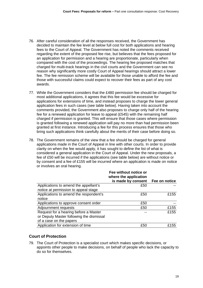- 76. After careful consideration of all the responses received, the Government has decided to maintain the fee level at below full cost for both applications and hearing fees to the Court of Appeal. The Government has noted the comments received regarding the extent of the proposed fee rise, but believes that the fees proposed for an application for permission and a hearing are proportionate, particularly when compared with the cost of the proceedings. The hearing fee proposed matches that charged for multi-track hearings in the civil courts and the Government can see no reason why significantly more costly Court of Appeal hearings should attract a lower fee. The fee remission scheme will be available for those unable to afford the fee and those with successful claims could expect to recover their fees as part of any cost awards.
- 77. While the Government considers that the £480 permission fee should be charged for most additional applications, it agrees that this fee would be excessive for applications for extensions of time, and instead proposes to charge the lower general application fees in such cases (see table below). Having taken into account the comments provided, the Government also proposes to charge only half of the hearing fee for a renewed application for leave to appeal (£545) with the remaining half charged if permission is granted. This will ensure that those cases where permission is granted following a renewed application will pay no more than had permission been granted at first instance. Introducing a fee for this process ensures that those who bring such applications think carefully about the merits of their case before doing so.
- 78. The Government remains of the view that a fee should be charged for general applications made in the Court of Appeal in line with other courts. In order to provide clarity on when the fee would apply, it has sought to define the list of what is considered a general application in the Court of Appeal. Under the new proposals, a fee of £50 will be incurred if the applications (see table below) are without notice or by consent and a fee of £155 will be incurred where an application is made on notice or involves an oral hearing.

|                                          | Fee without notice or<br>where the application |               |
|------------------------------------------|------------------------------------------------|---------------|
|                                          | is made by consent                             | Fee on notice |
| Applications to amend the appellant's    | £50                                            |               |
| notice at permission to appeal stage     |                                                |               |
| Applications to amend the respondent's   | £50                                            | £155          |
| notice                                   |                                                |               |
| Applications to approve consent order    | £50                                            |               |
| Adjournment requests                     | £50                                            | £155          |
| Request for a hearing before a Master    |                                                | £155          |
| or Deputy Master following the dismissal |                                                |               |
| of a case on the papers                  |                                                |               |
| Application for extension of time        | £50                                            | £155          |

#### **Court of Protection**

79. The Court of Protection is a specialist court which makes specific decisions, or appoints other people to make decisions, on behalf of people who lack the capacity to do so for themselves.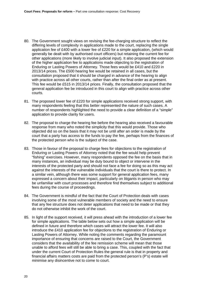- 80. The Government sought views on revising the fee-charging structure to reflect the differing levels of complexity in applications made to the court, replacing the single application fee of £400 with a lower fee of £220 for a simple application, (which would generally be dealt with by authorised court officers) but retaining the current fee for other applications (more likely to involve judicial input). It also proposed the extension of the higher application fee to applications made objecting to the registration of Enduring or Lasting Powers of Attorney. Those fees would be £410 and £220 in 2013/14 prices. The £500 hearing fee would be retained in all cases, but the consultation proposed that it should be charged in advance of the hearing to align with practice across all other courts, rather than after the final order as at present. This fee would be £515 in 2013/14 prices. Finally, the consultation proposed that the general application fee be introduced in this court to align with practice across other courts.
- 81. The proposed lower fee of £220 for simple applications received strong support, with many respondents feeling that this better represented the nature of such cases. A number of respondents highlighted the need to provide a clear definition of a "simple" application to provide clarity for users.
- 82. The proposal to charge the hearing fee before the hearing also received a favourable response from many who noted the simplicity that this would provide. Those who objected did so on the basis that it may not be until after an order is made by the court that a party has access to the funds to pay the fee, perhaps from the finances of the protected person who is the subject of the case.
- 83. Those in favour of the proposal to charge fees for objections to the registration of Enduring or Lasting Powers of Attorney noted that the fee would help prevent "fishing" exercises. However, many respondents opposed the fee on the basis that in many instances, an individual may be duty bound to object or intervene in the interests of the protected party and should not face a fee for doing so as this may act against the interests of the vulnerable individuals that the court is there to protect. In a similar vein, although there was some support for general application fees, many expressed a concern about their impact, particularly on litigants in person who may be unfamiliar with court processes and therefore find themselves subject to additional fees during the course of proceedings.
- 84. The Government is mindful of the fact that the Court of Protection deals with cases involving some of the most vulnerable members of society and the need to ensure that any fee structure does not deter applications that need to be made or that they do not otherwise inhibit the work of the court.
- 85. In light of the support received, it will press ahead with the introduction of a lower fee for simple applications. The table below sets out how a simple application will be defined in future and therefore which cases will attract the lower fee. It will also introduce the £410 application fee for objections to the registration of Enduring or Lasting Powers of Attorney. While noting the comments regarding the paramount importance of ensuring that concerns are raised to the Court, the Government considers that the availability of the fee remission scheme will mean that those unable to afford fees will still be able to bring a case. This, coupled with the fact that under the current Court of Protection Rules the general rule is that in property and financial affairs matters costs are paid from the protected person's (P's) estate will minimise any disincentive not to come to court.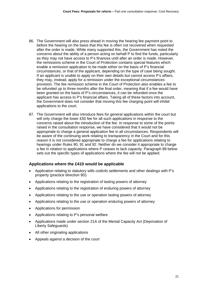- 86. The Government will also press ahead in moving the hearing fee payment point to before the hearing on the basis that this fee is often not recovered when requested after the order is made. While many supported this, the Government has noted the concerns about the ability of a person acting on behalf P to find the funds, particularly as they may not have access to P's finances until after an order is made. However, the remissions scheme in the Court of Protection contains special features which enable a remission application to be made either on the basis of P's financial circumstances, or that of the applicant, depending on the type of case being sought. If an applicant is unable to apply on their own details but cannot access P's affairs, they may, instead, apply for a remission under the exceptional circumstances provision. The fee remission scheme in the Court of Protection also enables a fee to be refunded up to three months after the final order, meaning that if a fee would have been granted on the basis of P's circumstances, it can be refunded once the applicant has access to P's financial affairs. Taking all of these factors into account, the Government does not consider that moving this fee charging point will inhibit applications to the court.
- 87. The Government will also introduce fees for general applications within the court but will only charge the lower £50 fee for all such applications in response to the concerns raised about the introduction of the fee. In response to some of the points raised in the consultation response, we have considered that it would not be appropriate to charge a general application fee in all circumstances. Respondents will be aware of the continuing work relating to transparency in the Court and for this reason it is not considered appropriate to charge a fee for applications relating to hearings under Rules 90, 91 and 92. Neither do we consider it appropriate to charge a fee in relation to applications where P ceases to lack capacity. Paragraph 88 below sets out the specific types of applications where the fee will not be applied.

#### **Applications where the £410 would be applicable**

- Application relating to statutory wills codicils settlements and other dealings with P's property (practice direction 9D)
- Applications relating to the registration of lasting powers of attorney
- Applications relating to the registration of enduring powers of attorney
- Applications relating to the use or operation lasting powers of attorney
- Applications relating to the use or operation enduring powers of attorney
- Applications for permission
- Applications relating to P's personal welfare
- Applications made under section 21A of the Mental Capacity Act (Deprivation of Liberty Safeguards)
- All other originating applications
- Appeals against a decision of the court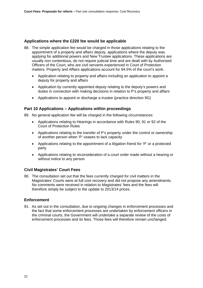#### **Applications where the £220 fee would be applicable**

- 88. The simple application fee would be charged in those applications relating to the appointment of a property and affairs deputy, applications where the deputy was applying for additional powers and New Trustee applications. These applications are usually non contentious, do not require judicial time and are dealt with by Authorised Officers of the Court, who are civil servants experienced in Court of Protection matters. Property and Affairs applications account for 94.5% of the court's work.
	- Application relating to property and affairs including an application to appoint a deputy for property and affairs
	- Application by currently appointed deputy relating to the deputy's powers and duties in connection with making decisions in relation to P's property and affairs
	- Applications to appoint or discharge a trustee (practice direction 9G)

#### **Part 10 Applications – Applications within proceedings**

89. No general application fee will be charged in the following circumstances:

- Applications relating to Hearings in accordance with Rules 90, 91 or 92 of the Court of Protection Rules
- Applications relating to the transfer of P's property under the control or ownership of another person when 'P' ceases to lack capacity
- Applications relating to the appointment of a litigation friend for 'P' or a protected party
- Applications relating to reconsideration of a court order made without a hearing or without notice to any person

#### **Civil Magistrates' Court Fees**

90. The consultation set out that the fees currently charged for civil matters in the Magistrates' Courts were at full cost recovery and did not propose any amendments. No comments were received in relation to Magistrates' fees and the fees will therefore simply be subject to the update to 2013/14 prices.

#### **Enforcement**

91. As set out in the consultation, due to ongoing changes in enforcement processes and the fact that some enforcement processes are undertaken by enforcement officers in the criminal courts, the Government will undertake a separate review of the costs of enforcement processes and its fees. Those fees will therefore remain unchanged.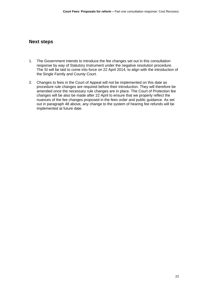### <span id="page-25-0"></span>**Next steps**

- 1. The Government intends to introduce the fee changes set out in this consultation response by way of Statutory Instrument under the negative resolution procedure. The SI will be laid to come into force on 22 April 2014, to align with the introduction of the Single Family and County Court.
- 2. Changes to fees in the Court of Appeal will not be implemented on this date as procedure rule changes are required before their introduction. They will therefore be amended once the necessary rule changes are in place. The Court of Protection fee changes will be also be made after 22 April to ensure that we properly reflect the nuances of the fee changes proposed in the fees order and public guidance. As set out in paragraph 48 above, any change to the system of hearing fee refunds will be implemented at future date.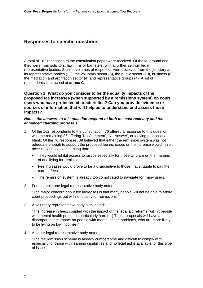## <span id="page-26-0"></span>**Responses to specific questions**

A total of 162 responses to the consultation paper were received. Of these, around one third were from solicitors, law firms or barristers, with a further 29 from legal representative bodies. Smaller volumes of responses were received from the judiciary and its representative bodies (12), the voluntary sector (5), the public sector (10), business (6), the mediation and arbitration sector (4) and representative groups (4). A list of respondents is attached at **annex C**.

#### **Question 1: What do you consider to be the equality impacts of the proposed fee increases (when supported by a remissions system) on court users who have protected characteristics? Can you provide evidence or sources of information that will help us to understand and assess those impacts?**

#### *Note – the answers to this question respond to both the cost recovery and the enhanced charging proposals*

- 1. Of the 162 respondents to the consultation, 76 offered a response to this question with the remaining 86 offering 'No Comment', 'No Answer', or leaving responses blank. Of the 76 responses, 39 believed that either the remission system was not adequate enough to support the proposed fee increases or the increase would inhibit access to justice commenting that:
	- They would inhibit access to justice especially for those who are on the margins of qualifying for remission;
	- Fee increases would prove to be a disincentive to those that struggle to pay the current fees;
	- The remission system is already too complicated to navigate for many users.
- 2. For example one legal representative body noted:

"The major concern about fee increases is that many people will not be able to afford court proceedings but will not qualify for remissions."

3. A voluntary representative body highlighted:

"The increase in fees, coupled with the impact of the legal aid reforms, will hit people with mental health problems particularly hard [...] These proposals will have a disproportionate impact on people with mental health problems, who are more likely to be living on low incomes."

4. Another legal representative body noted:

"The fee remission scheme is already cumbersome and difficult to comply with especially for those with learning disabilities and no legal aid is available for this type of issue."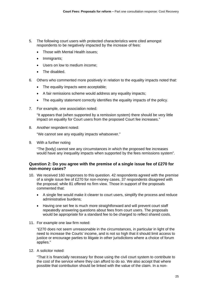- 5. The following court users with protected characteristics were cited amongst respondents to be negatively impacted by the increase of fees:
	- Those with Mental Health issues;
	- Immigrants:
	- Users on low to medium income;
	- The disabled.
- 6. Others who commented more positively in relation to the equality impacts noted that:
	- The equality impacts were acceptable;
	- A fair remissions scheme would address any equality impacts;
	- The equality statement correctly identifies the equality impacts of the policy.
- 7. For example, one association noted:

"It appears that (when supported by a remission system) there should be very little impact on equality for Court users from the proposed Court fee increases."

8. Another respndent noted:

"We cannot see any equality impacts whatsoever."

9. With a further noting

"The [body] cannot see any circumstances in which the proposed fee increases would have any inequality impacts when supported by the fees remissions system".

#### **Question 2: Do you agree with the premise of a single issue fee of £270 for non-money cases?**

- 10. We received 160 responses to this question. 42 respondents agreed with the premise of a single issue fee of £270 for non-money cases. 37 respondents disagreed with the proposal; while 81 offered no firm view. Those in support of the proposals commented that:
	- A single fee would make it clearer to court users, simplify the process and reduce administrative burdens;
	- Having one set fee is much more straightforward and will prevent court staff repeatedly answering questions about fees from court users. The proposals would be appropriate for a standard fee to be charged to reflect shared costs.
- 11. For example one law firm noted:

"£270 does not seem unreasonable in the circumstances, in particular in light of the need to increase the Courts' income, and is not so high that it should limit access to justice or encourage parties to litigate in other jurisdictions where a choice of forum applies."

12. A solicitor noted:

"That it is financially necessary for those using the civil court system to contribute to the cost of the service where they can afford to do so. We also accept that where possible that contribution should be linked with the value of the claim. In a non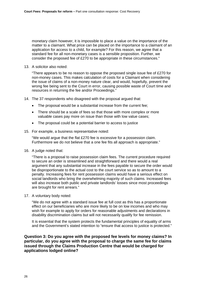monetary claim however, it is impossible to place a value on the importance of the matter to a claimant. What price can be placed on the importance to a claimant of an application for access to a child, for example? For this reason, we agree that a standard fee for all non-monetary cases is a sensible proposition. Further, we consider the proposed fee of £270 to be appropriate in these circumstances."

13. A solicitor also noted:

"There appears to be no reason to oppose the proposed single issue fee of £270 for non-money cases. This makes calculation of costs for a Claimant when considering the issue of claims of a non-money nature clear, and would, hopefully, prevent the wrong fee being sent to the Court in error, causing possible waste of Court time and resources in returning the fee and/or Proceedings."

- 14. The 37 respondents who disagreed with the proposal argued that:
	- The proposal would be a substantial increase from the current fee;
	- There should be a scale of fees so that those with more complex or more valuable cases pay more on issue than those with low value cases;
	- The proposal could be a potential barrier to access to justice
- 15. For example, a business representative noted:

"We would argue that the flat £270 fee is excessive for a possession claim. Furthermore we do not believe that a one fee fits all approach is appropriate."

16. A judge noted that:

"There is a proposal to raise possession claim fees. The current procedure required to secure an order is streamlined and straightforward and there would a real argument that any substantial increase in the fees payable to secure the order would be disproportionate to the actual cost to the court service so as to amount to a penalty. Increasing fees for rent possession claims would have a serious effect on social landlords who bring the overwhelming majority of such claims. Increased fees will also increase both public and private landlords' losses since most proceedings are brought for rent arrears."

17. A voluntary body noted:

"We do not agree with a standard issue fee at full cost as this has a proportionate effect on our beneficiaries who are more likely to be on low incomes and who may wish for example to apply for orders for reasonable adjustments and declarations in disability discrimination claims but will not necessarily qualify for fee remission.

It is essential that the system protects the fundamental principles of equality of arms and the Government's stated intention to "ensure that access to justice is protected."

**Question 3: Do you agree with the proposed fee levels for money claims? In particular, do you agree with the proposal to charge the same fee for claims issued through the Claims Production Centre that would be charged for applications lodged online?**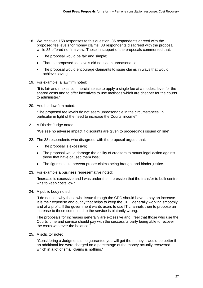- 18. We received 158 responses to this question. 35 respondents agreed with the proposed fee levels for money claims. 38 respondents disagreed with the proposal; while 85 offered no firm view. Those in support of the proposals commented that:
	- The proposal would be fair and simple:
	- That the proposed fee levels did not seem unreasonable:
	- The proposal would encourage claimants to issue claims in ways that would achieve saving.
- 19. For example, a law firm noted:

"It is fair and makes commercial sense to apply a single fee at a modest level for the shared costs and to offer incentives to use methods which are cheaper for the courts to administer."

20. Another law firm noted:

"The proposed fee levels do not seem unreasonable in the circumstances, in particular in light of the need to increase the Courts' income"

21. A District Judge noted:

"We see no adverse impact if discounts are given to proceedings issued on line".

- 22. The 38 respondents who disagreed with the proposal argued that:
	- The proposal is excessive;
	- The proposal would damage the ability of creditors to mount legal action against those that have caused them loss;
	- The figures could prevent proper claims being brought and hinder justice.
- 23. For example a business representative noted:

"Increase is excessive and I was under the impression that the transfer to bulk centre was to keep costs low."

24. A public body noted:

"I do not see why those who issue through the CPC should have to pay an increase. It is their expertise and outlay that helps to keep the CPC generally working smoothly and at a profit. If the government wants users to use IT channels then to propose an increase to those committed to the service is blatantly wrong.

The proposals for increases generally are excessive and I feel that those who use the Courts' time and service should pay with the successful party being able to recover the costs whatever the balance."

25. A solicitor noted:

"Considering a Judgment is no guarantee you will get the money it would be better if an additional fee were charged on a percentage of the money actually recovered which in a lot of small claims is nothing."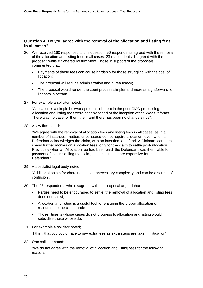#### **Question 4: Do you agree with the removal of the allocation and listing fees in all cases?**

- 26. We received 160 responses to this question. 50 respondents agreed with the removal of the allocation and listing fees in all cases. 23 respondents disagreed with the proposal; while 87 offered no firm view. Those in support of the proposals commented that:
	- Payments of those fees can cause hardship for those struggling with the cost of litigation;
	- The proposal will reduce administration and bureaucracy;
	- The proposal would render the court process simpler and more straightforward for litigants in person.
- 27. For example a solicitor noted:

"Allocation is a simple boxwork process inherent in the post-CMC processing. Allocation and listing fees were not envisaged at the inception of the Woolf reforms. There was no case for them then, and there has been no change since".

28. A law firm noted:

"We agree with the removal of allocation fees and listing fees in all cases, as in a number of instances, matters once issued do not require allocation, even when a Defendant acknowledges the claim, with an intention to defend. A Claimant can then spend further monies on allocation fees, only for the claim to settle post-allocation. Previously when an Allocation fee had been paid, the Defendant was then liable for payment of this in settling the claim, thus making it more expensive for the Defendant."

29. A specialist legal body noted:

"Additional points for charging cause unnecessary complexity and can be a source of confusion".

- 30. The 23 respondents who disagreed with the proposal argued that:
	- Parties need to be encouraged to settle, the removal of allocation and listing fees does not assist;
	- Allocation and listing is a useful tool for ensuring the proper allocation of resources to the claim made;
	- Those litigants whose cases do not progress to allocation and listing would subsidise those whose do.
- 31. For example a solicitor noted;

"I think that you could have to pay extra fees as extra steps are taken in litigation".

32. One solicitor noted:

"We do not agree with the removal of allocation and listing fees for the following reasons:-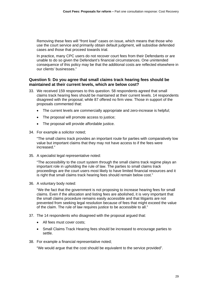Removing these fees will "front load" cases on issue, which means that those who use the court service and primarily obtain default judgment, will subsidise defended cases and those that proceed towards trial.

In practice, many CPC users do not recover court fees from their Defendants or are unable to do so given the Defendant's financial circumstances. One unintended consequence of this policy may be that the additional costs are reflected elsewhere in our clients' businesses."

#### **Question 5: Do you agree that small claims track hearing fees should be maintained at their current levels, which are below cost?**

- 33. We received 159 responses to this question. 58 respondents agreed that small claims track hearing fees should be maintained at their current levels. 14 respondents disagreed with the proposal; while 87 offered no firm view. Those in support of the proposals commented that:
	- The current levels are commercially appropriate and zero-increase is helpful;
	- The proposal will promote access to justice;
	- The proposal will provide affordable justice.
- 34. For example a solicitor noted;

"The small claims track provides an important route for parties with comparatively low value but important claims that they may not have access to if the fees were increased."

35. A specialist legal representative noted:

"The accessibility to the court system through the small claims track regime plays an important role in upholding the rule of law. The parties to small claims track proceedings are the court users most likely to have limited financial resources and it is right that small claims track hearing fees should remain below cost."

36. A voluntary body noted:

"We the fact that the government is not proposing to increase hearing fees for small claims. Even if the allocation and listing fees are abolished, it is very important that the small claims procedure remains easily accessible and that litigants are not prevented from seeking legal resolution because of fees that might exceed the value of the claim. The rule of law requires justice to be accessible to all."

- 37. The 14 respondents who disagreed with the proposal argued that:
	- All fees must cover costs;
	- Small Claims Track Hearing fees should be increased to encourage parties to settle.
- 38. For example a financial representative noted;

"We would argue that the cost should be equivalent to the service provided".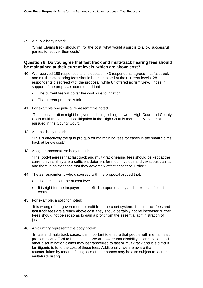39. A public body noted:

"Small Claims track should mirror the cost; what would assist is to allow successful parties to recover their costs".

#### **Question 6: Do you agree that fast track and multi-track hearing fees should be maintained at their current levels, which are above cost?**

- 40. We received 158 responses to this question. 43 respondents agreed that fast track and multi-track hearing fees should be maintained at their current levels. 28 respondents disagreed with the proposal; while 87 offered no firm view. Those in support of the proposals commented that:
	- The current fee will cover the cost, due to inflation;
	- The current practice is fair
- 41. For example one judicial representative noted:

"That consideration might be given to distinguishing between High Court and County Court multi-track fees since litigation in the High Court is more costly than that pursued in the County Court."

42. A public body noted:

"This is effectively the quid pro quo for maintaining fees for cases in the small claims track at below cost."

43. A legal representative body noted;

"The [body] agrees that fast track and multi-track hearing fees should be kept at the current levels: they are a sufficient deterrent for most frivolous and vexatious claims, and there is no evidence that they adversely affect access to justice."

- 44. The 28 respondents who disagreed with the proposal argued that:
	- The fees should be at cost level;
	- It is right for the taxpayer to benefit disproportionately and in excess of court costs.
- 45. For example, a solicitor noted:

"It is wrong of the government to profit from the court system. If multi-track fees and fast track fees are already above cost, they should certainly not be increased further. Fees should not be set so as to gain a profit from the essential administration of iustice."

46. A voluntary representative body noted:

"In fast and multi-track cases, it is important to ensure that people with mental health problems can afford to bring cases. We are aware that disability discrimination and other discrimination claims may be transferred to fast or multi-track and it is difficult for litigants to fund the cost of those fees. Additionally, we are aware that counterclaims by tenants facing loss of their homes may be also subject to fast or multi-track listing."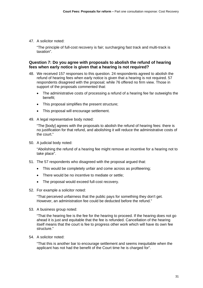47. A solicitor noted:

"The principle of full-cost recovery is fair; surcharging fast track and multi-track is taxation".

#### **Question 7: Do you agree with proposals to abolish the refund of hearing fees when early notice is given that a hearing is not required?**

- 48. We received 157 responses to this question. 24 respondents agreed to abolish the refund of hearing fees when early notice is given that a hearing is not required. 57 respondents disagreed with the proposal; while 76 offered no firm view. Those in support of the proposals commented that:
	- The administrative costs of processing a refund of a hearing fee far outweighs the benefit;
	- This proposal simplifies the present structure;
	- This proposal will encourage settlement.
- 49. A legal representative body noted:

"The [body] agrees with the proposals to abolish the refund of hearing fees: there is no justification for that refund, and abolishing it will reduce the administrative costs of the court."

50. A judicial body noted:

"Abolishing the refund of a hearing fee might remove an incentive for a hearing not to take place".

- 51. The 57 respondents who disagreed with the proposal argued that:
	- This would be completely unfair and come across as profiteering;
	- There would be no incentive to mediate or settle;
	- The proposal would exceed full-cost recovery.
- 52. For example a solicitor noted:

"That perceived unfairness that the public pays for something they don't get. However, an administration fee could be deducted before the refund."

53. A business group noted:

"That the hearing fee is the fee for the hearing to proceed. If the hearing does not go ahead it is just and equitable that the fee is refunded. Cancellation of the hearing itself means that the court is fee to progress other work which will have its own fee structure."

54. A solicitor noted:

"That this is another bar to encourage settlement and seems inequitable when the applicant has not had the benefit of the Court time he is charged for".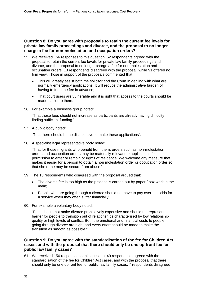#### **Question 8: Do you agree with proposals to retain the current fee levels for private law family proceedings and divorce, and the proposal to no longer charge a fee for non-molestation and occupation orders?**

- 55. We received 156 responses to this question. 52 respondents agreed with the proposal to retain the current fee levels for private law family proceedings and divorce, and the proposal to no longer charge a fee for non-molestation and occupation orders. 13 respondents disagreed with the proposal; while 91 offered no firm view. Those in support of the proposals commented that:
	- This will greatly assist both the solicitor and the Court in dealing with what are normally emergency applications. It will reduce the administrative burden of having to fund the fee in advance;
	- That court users are vulnerable and it is right that access to the courts should be made easier to them.
- 56. For example a business group noted:

"That these fees should not increase as participants are already having difficulty finding sufficient funding."

57. A public body noted:

"That there should be no disincentive to make these applications".

58. A specialist legal representative body noted:

"That for those migrants who benefit from them, orders such as non-molestation orders and occupation orders may be materially relevant to applications for permission to enter or remain or rights of residence. We welcome any measure that makes it easier for a person to obtain a non molestation order or occupation order so that she or he may be secure from abuse."

- 59. The 13 respondents who disagreed with the proposal argued that:
	- The divorce fee is too high as the process is carried out by paper / box work in the main;
	- People who are going through a divorce should not have to pay over the odds for a service when they often suffer financially.
- 60. For example a voluntary body noted:

"Fees should not make divorce prohibitively expensive and should not represent a barrier for people to transition out of relationships characterised by low relationship quality or high levels of conflict. Both the emotional and financial costs to people going through divorce are high, and every effort should be made to make the transition as smooth as possible."

#### **Question 9: Do you agree with the standardisation of the fee for Children Act cases, and with the proposal that there should only be one up-front fee for public law family cases?**

61. We received 156 responses to this question. 49 respondents agreed with the standardisation of the fee for Children Act cases, and with the proposal that there should only be one upfront fee for public law family cases. 7 respondents disagreed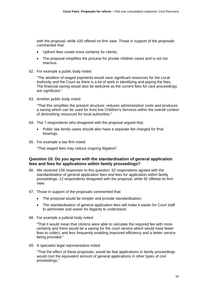with the proposal; while 100 offered no firm view. Those in support of the proposals commented that:

- Upfront fees create more certainty for clients;
- The proposal simplifies the process for private children cases and is not too onerous.
- 62. For example a public body noted:

"The abolition of staged payments would save significant resources for the Local Authority and the Court as there is a lot of work in identifying and paying the fees. The financial saving would also be welcome as the current fees for care proceedings are significant."

63. Another public body noted:

"That this simplifies the present structure; reduces administration costs and produces a saving which can be used for front line Children's Services within the overall context of diminishing resources for local authorities."

- 64. The 7 respondents who disagreed with the proposal argued that:
	- Public law family cases should also have a separate fee charged for final hearings.
- 65. For example a law firm noted:

"That staged fees may reduce ongoing litigation".

#### **Question 10: Do you agree with the standardisation of general application fees and fees for applications within family proceedings?**

- 66. We received 156 responses to this question. 52 respondents agreed with the standardisation of general application fees and fees for application within family proceedings. 12 respondents disagreed with the proposal; while 92 offered no firm view.
- 67. Those in support of the proposals commented that:
	- The proposal would be simpler and provide standardisation;
	- The standardisation of general application fees will make it easier for Court staff to administer and easier for litigants to understand.
- 68. For example a judicial body noted:

"That it would mean that citizens were able to calculate the required fee with more certainty and there would be a saving for the court service which would have fewer fees to collect; and less frequently enabling improved efficiency and a better service being provided."

69. A specialist legal representative noted:

"That the effect of these proposals; would be that applications in family proceedings would cost the equivalent amount of general applications in other types of civil proceedings."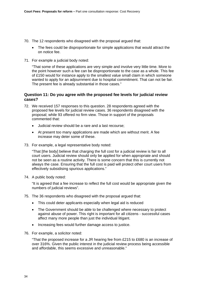- 70. The 12 respondents who disagreed with the proposal argued that:
	- The fees could be disproportionate for simple applications that would attract the on notice fee.
- 71. For example a judicial body noted:

"That some of these applications are very simple and involve very little time. More to the point however such a fee can be disproportionate to the case as a whole. This fee of £150 would for instance apply to the smallest value small claim in which someone wanted to apply for an adjournment due to hospital commitment. That can not be fair. The present fee is already substantial in those cases."

#### **Question 11: Do you agree with the proposed fee levels for judicial review cases?**

- 72. We received 157 responses to this question. 28 respondents agreed with the proposed fee levels for judicial review cases. 36 respondents disagreed with the proposal; while 93 offered no firm view. Those in support of the proposals commented that:
	- Judicial review should be a rare and a last recourse;
	- At present too many applications are made which are without merit. A fee increase may deter some of these.
- 73. For example, a legal representative body noted:

"That [the body] believe that charging the full cost for a judicial review is fair to all court users. Judicial review should only be applied for when appropriate and should not be seen as a routine activity. There is some concern that this is currently not always the case. Ensuring that the full cost is paid will protect other court users from effectively subsidising spurious applications."

74. A public body noted:

"It is agreed that a fee increase to reflect the full cost would be appropriate given the numbers of judicial reviews".

- 75. The 36 respondents who disagreed with the proposal argued that:
	- This could deter applicants especially when legal aid is reduced
	- The Government should be able to be challenged where necessary to protect against abuse of power. This right is important for all citizens - successful cases affect many more people than just the individual litigant.
	- Increasing fees would further damage access to justice.
- 76. For example, a solicitor noted:

"That the proposed increase for a JR hearing fee from £215 to £680 is an increase of over 316%. Given the public interest in the judicial review process being accessible and affordable, this seems excessive and unreasonable."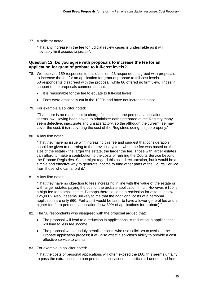77. A solicitor noted:

"That any increase in the fee for judicial review cases is undesirable as it will inevitably limit access to justice".

#### **Question 12: Do you agree with proposals to increase the fee for an application for grant of probate to full-cost levels?**

- 78. We received 159 responses to this question. 23 respondents agreed with proposals to increase the fee for an application for grant of probate to full-cost levels. 50 respondents disagreed with the proposal; while 86 offered no firm view. Those in support of the proposals commented that:
	- It is reasonable for the fee to equate to full-cost levels;
	- Fees were drastically cut in the 1990s and have not increased since.
- 79. For example a solicitor noted:

"That there is no reason not to charge full-cost; but the personal application fee seems low. Having been asked to administer oaths prepared at the Registry many seem defective, inaccurate and unsatisfactory, so the although the current fee may cover the cost, it isn't covering the cost of the Registries doing the job properly."

80. A law firm noted:

"That they have no issue with increasing this fee and suggest that consideration should be given to returning to the previous system when the fee was based on the size of the estate - the larger the estate, the larger the fee. Those with larger estates can afford to make a contribution to the costs of running the Courts Service beyond the Probate Registries. Some might regard this as indirect taxation, but it would be a simple and effective way to generate income to fund other parts of the Courts Service from those who can afford it."

81. A law firm noted:

"That they have no objection to fees increasing in line with the value of the estate or with larger estates paying the cost of the probate application in full. However, £150 is a high fee for a small estate. Perhaps there could be a remission for estates below £25,000? Also, it seems unlikely to me that the additional costs of a personal application are only £60. Perhaps it would be fairer to have a lower general fee and a higher fee for a personal application (now 30% of applications for probate)."

- 82. The 50 respondents who disagreed with the proposal argued that:
	- The proposal will lead to a reduction in applications. A reduction in applications will lead to less fee income;
	- The proposal would unduly penalise clients who use solicitors to assist in the Probate application process; it will also affect a solicitor's ability to provide a cost effective service to clients.
- 83. For example, a solicitor noted:

"That the costs of personal applications will often exceed the £60: this seems unfairly to pass the extra cost onto non personal applications. In particular I understand from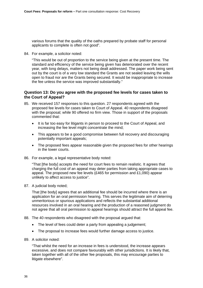various forums that the quality of the oaths prepared by probate staff for personal applicants to complete is often not good".

84. For example, a solicitor noted:

"This would be out of proportion to the service being given at the present time. The standard and efficiency of the service being given has deteriorated over the recent year, with long delays, matters not being dealt addressed. The paper work being sent out by the court is of a very low standard the Grants are not sealed leaving the wills open to fraud nor are the Grants being secured. It would be inappropriate to increase the fee unless the service was improved substantially."

#### **Question 13: Do you agree with the proposed fee levels for cases taken to the Court of Appeal?**

- 85. We received 157 responses to this question. 27 respondents agreed with the proposed fee levels for cases taken to Court of Appeal. 40 respondents disagreed with the proposal; while 90 offered no firm view. Those in support of the proposals commented that:
	- It is far too easy for litigants in person to proceed to the Court of Appeal, and increasing the fee level might concentrate the mind;
	- This appears to be a good compromise between full recovery and discouraging potentially important appeals;
	- The proposed fees appear reasonable given the proposed fees for other hearings in the lower courts.
- 86. For example, a legal representative body noted:

"That [the body] accepts the need for court fees to remain realistic. It agrees that charging the full cost of an appeal may deter parties from taking appropriate cases to appeal. The proposed new fee levels (£465 for permission and £1,090) appear unlikely to affect access to justice".

87. A judicial body noted;

That [the body] agrees that an additional fee should be incurred where there is an application for an oral permission hearing. This serves the legitimate aim of deterring unmeritorious or spurious applications and reflects the substantial additional resources involved in an oral hearing and the production of a reasoned judgment do not agree that all oral permission to appeal hearings should attract the full appeal fee.

- 88. The 40 respondents who disagreed with the proposal argued that:
	- The level of fees could deter a party from appealing a judgement;
	- The proposal to increase fees would further damage access to justice.
- 89. A solicitor noted:

"That whilst the need for an increase in fees is understood, the increase appears excessive, and does not compare favourably with other jurisdictions. It is likely that, taken together with all of the other fee proposals, this may encourage parties to litigate elsewhere".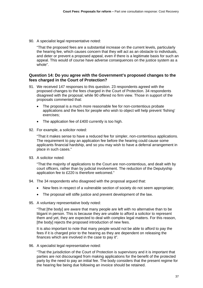90. A specialist legal representative noted:

"That the proposed fees are a substantial increase on the current levels, particularly the hearing fee, which causes concern that they will act as an obstacle to individuals, and deter or prevent a proposed appeal, even if there is a legitimate basis for such an appeal. This would of course have adverse consequences on the justice system as a whole".

#### **Question 14: Do you agree with the Government's proposed changes to the fees charged in the Court of Protection?**

- 91. We received 147 responses to this question. 23 respondents agreed with the proposed changes to the fees charged in the Court of Protection. 34 respondents disagreed with the proposal; while 90 offered no firm view. Those in support of the proposals commented that:
	- The proposal is a much more reasonable fee for non-contentious probate applications and the fees for people who wish to object will help prevent 'fishing' exercises;
	- The application fee of £400 currently is too high.
- 92. For example, a solicitor noted:

"That it makes sense to have a reduced fee for simpler, non-contentious applications. The requirement to pay an application fee before the hearing could cause some applicants financial hardship, and so you may wish to have a deferral arrangement in place in such cases."

93. A solicitor noted:

"That the majority of applications to the Court are non-contentious, and dealt with by court officers, rather than by judicial involvement. The reduction of the Deputyship application fee to £220 is therefore welcomed."

- 94. The 34 respondents who disagreed with the proposal argued that:
	- New fees in respect of a vulnerable section of society do not seem appropriate;
	- The proposal will stifle justice and prevent development of the law.
- 95. A voluntary representative body noted:

"That [the body] are aware that many people are left with no alternative than to be litigant in person. This is because they are unable to afford a solicitor to represent them and yet, they are expected to deal with complex legal matters. For this reason, [the body] rejects the proposed introduction of new fees.

It is also important to note that many people would not be able to afford to pay the fees if it is charged prior to the hearing as they are dependent on releasing the finances which are involved in the case to pay it".

96. A specialist legal representative noted:

"That the jurisdiction of the Court of Protection is supervisory and it is important that parties are not discouraged from making applications for the benefit of the protected party by the need to pay an initial fee. The body considers that the present regime for the hearing fee being due following an invoice should be retained.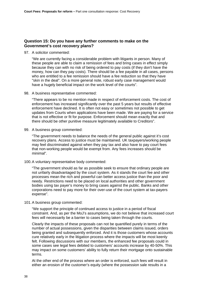#### **Question 15: Do you have any further comments to make on the Government's cost recovery plans?**

97. A solicitor commented:

"We are currently facing a considerable problem with litigants in person. Many of these people are able to claim a remission of fees and bring cases in effect simply because they can with no risk of being ordered to pay costs (if they don't have the money, how can they pay costs). There should be a fee payable in all cases, persons who are entitled to a fee remission should have a fee reduction so that they have "skin in the deal". On a more general note, robust early case management would have a hugely beneficial impact on the work level of the courts".

98. A business representative commented:

"There appears to be no mention made in respect of enforcement costs. The cost of enforcement has increased significantly over the past 5 years but results of effective enforcement have declined. It is often not easy or sometimes not possible to get updates from Courts when applications have been made. We are paying for a service that is not effective or fit for purpose. Enforcement should mean exactly that and there should be other punitive measure legitimately available to Creditors".

99. A business group commented:

"The government needs to balance the needs of the general public against it's cost recovery plans. Access to justice must be maintained. UK taxpayers/working people may feel discriminated against when they pay tax and also have to pay court fees that non-working people would be exempt from. Any fees increases should be minimal".

100. A voluntary representative body commented:

"The government should as far as possible seek to ensure that ordinary people are not unfairly disadvantaged by the court system. As it stands the court fee and other processes mean the rich and powerful can better access justice than the poor and needy. Restrictions need to be placed on local authorities and other government bodies using tax payer's money to bring cases against the public. Banks and other corporations need to pay more for their over-use of the court system at tax-payers expense".

101. A business group commented:

"We support the principle of continued access to justice in a period of fiscal constraint. And, as per the MoJ's assumptions, we do not believe that increased court fees will necessarily be a barrier to cases being taken through the courts.

Clearly the impacts of these proposals can not be quantified purely in terms of the number of actual possessions, given the disparities between claims issued, orders being granted and subsequently enforced. And it is those customers whose accounts cure relatively early in the litigation process where the impacts will be most keenly felt. Following discussions with our members, the enhanced fee proposals could in some cases see legal fees debited to customers' accounts increase by 40-50%. This may impact on some customers' ability to fully return their mortgage onto sustainable terms.

At the other end of the process where an order is enforced, such fees will result in either an erosion of the customer's equity (where the possession sale results in a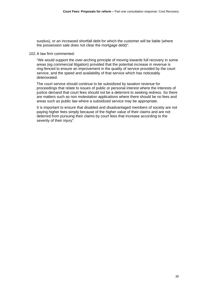surplus), or an increased shortfall debt for which the customer will be liable (where the possession sale does not clear the mortgage debt)".

#### 102. A law firm commented:

"We would support the over-arching principle of moving towards full recovery in some areas (eg commercial litigation) provided that the potential increase in revenue is ring-fenced to ensure an improvement in the quality of service provided by the court service, and the speed and availability of that service which has noticeably deteriorated.

The court service should continue to be subsidized by taxation revenue for proceedings that relate to issues of public or personal interest where the interests of justice demand that court fees should not be a deterrent to seeking redress. So there are matters such as non molestation applications where there should be no fees and areas such as public law where a subsidized service may be appropriate.

It is important to ensure that disabled and disadvantaged members of society are not paying higher fees simply because of the higher value of their claims and are not deterred from pursuing their claims by court fees that increase according to the severity of their injury".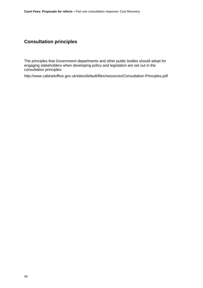## <span id="page-42-0"></span>**Consultation principles**

The principles that Government departments and other public bodies should adopt for engaging stakeholders when developing policy and legislation are set out in the consultation principles:

<http://www.cabinetoffice.gov.uk/sites/default/files/resources/Consultation-Principles.pdf>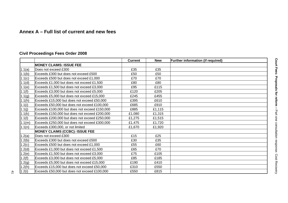#### **Annex A – Full list of current and new fees**

## **Civil Proceedings Fees Order 2008**

|        |                                               | <b>Current</b> | <b>New</b> | <b>Further information (if required)</b> |
|--------|-----------------------------------------------|----------------|------------|------------------------------------------|
|        | <b>MONEY CLAIMS: ISSUE FEE</b>                |                |            |                                          |
| 1.1(a) | Does not exceed £300                          | £35            | £35        |                                          |
| 1.1(b) | Exceeds £300 but does not exceed £500         | £50            | £50        |                                          |
| 1.1(c) | Exceeds £500 but does not exceed £1,000       | £70            | £70        |                                          |
| 1.1(d) | Exceeds £1,000 but does not exceed £1,500     | £80            | £80        |                                          |
| 1.1(e) | Exceeds £1,500 but does not exceed £3,000     | £95            | £115       |                                          |
| 1.1(f) | Exceeds £3,000 but does not exceed £5,000     | £120           | £205       |                                          |
| 1.1(g) | Exceeds £5,000 but does not exceed £15,000    | £245           | £455       |                                          |
| 1.1(h) | Exceeds £15,000 but does not exceed £50,000   | £395           | £610       |                                          |
| 1.1(i) | Exceeds £50,000 but does not exceed £100,000  | £685           | £910       |                                          |
| 1.1(j) | Exceeds £100,000 but does not exceed £150,000 | £885           | £1,115     |                                          |
| 1.1(k) | Exceeds £150,000 but does not exceed £200,000 | £1,080         | £1,315     |                                          |
| 1.1(l) | Exceeds £200,000 but does not exceed £250,000 | £1,275         | £1,515     |                                          |
| 1.1(m) | Exceeds £250,000 but does not exceed £300,000 | £1,475         | £1,720     |                                          |
| 1.1(n) | Exceeds £300,000, or not limited              | £1,670         | £1,920     |                                          |
|        | <b>MONEY CLAIMS (CCBC): ISSUE FEE</b>         |                |            |                                          |
| 1.2(a) | Does not exceed £300                          | £15            | £25        |                                          |
| 1.2(b) | Exceeds £300 but does not exceed £500         | £30            | £35        |                                          |
| 1.2(c) | Exceeds £500 but does not exceed £1,000       | £55            | £60        |                                          |
| 1.2(d) | Exceeds £1,000 but does not exceed £1,500     | £65            | £70        |                                          |
| 1.2(e) | Exceeds £1,500 but does not exceed £3,000     | £75            | £105       |                                          |
| 1.2(f) | Exceeds £3,000 but does not exceed £5,000     | £85            | £185       |                                          |
| 1.2(g) | Exceeds £5,000 but does not exceed £15,000    | £190           | £410       |                                          |
| 1.2(h) | Exceeds £15,000 but does not exceed £50,000   | £310           | £550       |                                          |
| 1.2(i) | Exceeds £50,000 but does not exceed £100,000  | £550           | £815       |                                          |

<span id="page-43-0"></span> $\overline{4}$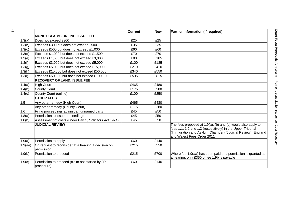|         |                                                                   | <b>Current</b> | <b>New</b> | <b>Further information (if required)</b>                                                                                                                                                                                |
|---------|-------------------------------------------------------------------|----------------|------------|-------------------------------------------------------------------------------------------------------------------------------------------------------------------------------------------------------------------------|
|         | <b>MONEY CLAIMS ONLINE: ISSUE FEE</b>                             |                |            |                                                                                                                                                                                                                         |
| .3(a)   | Does not exceed £300                                              | £25            | £25        |                                                                                                                                                                                                                         |
| .3(b)   | Exceeds £300 but does not exceed £500                             | £35            | £35        |                                                                                                                                                                                                                         |
| .3(c)   | Exceeds £500 but does not exceed £1,000                           | £60            | £60        |                                                                                                                                                                                                                         |
| .3(d)   | Exceeds £1,000 but does not exceed £1,500                         | £70            | £70        |                                                                                                                                                                                                                         |
| .3(e)   | Exceeds £1,500 but does not exceed £3,000                         | £80            | £105       |                                                                                                                                                                                                                         |
| 1.3(f)  | Exceeds £3,000 but does not exceed £5,000                         | £100           | £185       |                                                                                                                                                                                                                         |
| 1.3(g)  | Exceeds £5,000 but does not exceed £15,000                        | £210           | £410       |                                                                                                                                                                                                                         |
| .3(h)   | Exceeds £15,000 but does not exceed £50,000                       | £340           | £550       |                                                                                                                                                                                                                         |
| 1.3(i)  | Exceeds £50,000 but does not exceed £100,000                      | £595           | £815       |                                                                                                                                                                                                                         |
|         | <b>RECOVERY OF LAND: ISSUE FEE</b>                                |                |            |                                                                                                                                                                                                                         |
| 1.4(a)  | <b>High Court</b>                                                 | £465           | £480       |                                                                                                                                                                                                                         |
| .4(b)   | <b>County Court</b>                                               | £175           | £280       |                                                                                                                                                                                                                         |
| 1.4(c)  | County Court (online)                                             | £100           | £250       |                                                                                                                                                                                                                         |
|         | <b>OTHER FEES</b>                                                 |                |            |                                                                                                                                                                                                                         |
| 1.5     | Any other remedy (High Court)                                     | £465           | £480       |                                                                                                                                                                                                                         |
|         | Any other remedy (County Court)                                   | £175           | £280       |                                                                                                                                                                                                                         |
| .6      | Filing proceedings against an unnamed party                       | £45            | £50        |                                                                                                                                                                                                                         |
| .8(a)   | Permission to issue proceedings                                   | £45            | £50        |                                                                                                                                                                                                                         |
| .8(b)   | Assessment of costs (under Part 3, Solicitors Act 1974)           | £45            | £50        |                                                                                                                                                                                                                         |
|         | <b>JUDICIAL REVIEW</b>                                            |                |            | The fees proposed at 1.9(a), (b) and (c) would also apply to<br>fees 1.1, 1.2 and 1.3 (respectively) in the Upper Tribunal<br>(Immigration and Asylum Chamber) (Judicial Review) (England<br>and Wales) Fees Order 2011 |
| .9(a)   | Permission to apply                                               | £60            | £140       |                                                                                                                                                                                                                         |
| 1.9(aa) | On request to reconsider at a hearing a decision on<br>permission | £215           | £350       |                                                                                                                                                                                                                         |
| 1.9(b)  | Permission to proceed                                             | £215           | £700       | Where fee 1.9(aa) has been paid and permission is granted at<br>a hearing, only £350 of fee 1.9b is payable                                                                                                             |
| .9(c)   | Permission to proceed (claim not started by JR<br>procedure)      | £60            | £140       |                                                                                                                                                                                                                         |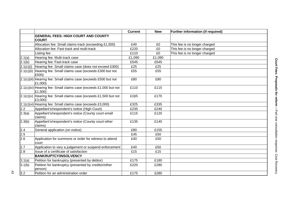|            |                                                                                 | <b>Current</b> | <b>New</b> | <b>Further information (if required)</b> |
|------------|---------------------------------------------------------------------------------|----------------|------------|------------------------------------------|
|            | <b>GENERAL FEES: HIGH COURT AND COUNTY</b><br><b>COURT</b>                      |                |            |                                          |
|            | Allocation fee: Small claims track (exceeding £1,500)                           | £40            | £0         | This fee is no longer charged            |
|            | Allocation fee: Fast track and multi-track                                      | £220           | £0         | This fee is no longer charged            |
|            | Listing fee                                                                     | £110           | £0         | This fee is no longer charged            |
| 2.1(a)     | Hearing fee: Multi-track case                                                   | £1,090         | £1,090     |                                          |
| 2.1(b)     | Hearing fee: Fast-track case                                                    | £545           | £545       |                                          |
| 2.1(c)(i)  | Hearing fee: Small claims case (does not exceed £300)                           | £25            | £25        |                                          |
| 2.1(c)(ii) | Hearing fee: Small claims case (exceeds £300 but not<br>£500)                   | £55            | £55        |                                          |
|            | 2.1(c)(iii) Hearing fee: Small claims case (exceeds £500 but not<br>£1,000)     | £80            | £80        |                                          |
|            | $2.1(c)$ (iv) Hearing fee: Small claims case (exceeds £1,000 but not<br>£1,500) | £110           | £115       |                                          |
|            | $2.1(c)(v)$ Hearing fee: Small claims case (exceeds £1,500 but not<br>£3,000)   | £165           | £170       |                                          |
|            | 2.1(c)(vi) Hearing fee: Small claims case (exceeds £3,000)                      | £325           | £335       |                                          |
| 2.2        | Appellant's/respondent's notice (High Court)                                    | £235           | £240       |                                          |
| 2.3(a)     | Appellant's/respondent's notice (County court-small<br>claims)                  | £115           | £120       |                                          |
| 2.3(b)     | Appellant's/respondent's notice (County court-other<br>claims)                  | £135           | £140       |                                          |
| 2.4        | General application (on notice)                                                 | £80            | £155       |                                          |
| 2.5        |                                                                                 | £45            | £50        |                                          |
| 2.6        | Application for summons or order for witness to attend<br>court                 | £40            | £50        |                                          |
| 2.7        | Application to vary a judgement or suspend enforcement                          | £40            | £50        |                                          |
| 2.8        | Issue of a certificate of satisfaction                                          | £15            | £15        |                                          |
|            | <b>BANKRUPTCY/INSOLVENCY</b>                                                    |                |            |                                          |
| 3.1(a)     | Petition for bankruptcy (presented by debtor)                                   | £175           | £180       |                                          |
| 3.1(b)     | Petition for bankruptcy (presented by creditor/other<br>person)                 | £220           | £280       |                                          |
| 3.2        | Petition for an administration order                                            | £175           | £280       |                                          |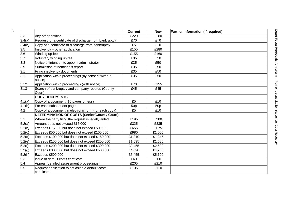|        |                                                                 | <b>Current</b>  | <b>New</b>      | <b>Further information (if required)</b> |
|--------|-----------------------------------------------------------------|-----------------|-----------------|------------------------------------------|
| 3.3    | Any other petition                                              | £220            | £280            |                                          |
| 3.4(a) | Request for a certificate of discharge from bankruptcy          | £70             | £70             |                                          |
| 3.4(b) | Copy of a certificate of discharge from bankruptcy              | £5              | £10             |                                          |
| 3.5    | Insolvency - other application                                  | £155            | £280            |                                          |
| 3.6    | Winding up fee                                                  | £155            | £160            |                                          |
| 3.7    | Voluntary winding up fee                                        | £35             | £50             |                                          |
| 3.8    | Notice of intention to appoint administrator                    | £35             | £50             |                                          |
| 3.9    | Submission of nominee's report                                  | £35             | £50             |                                          |
| 3.1    | Filing insolvency documents                                     | £35             | £50             |                                          |
| 3.11   | Application within proceedings (by consent/without<br>notice)   | £35             | £50             |                                          |
| 3.12   | Application within proceedings (with notice)                    | £70             | £155            |                                          |
| 3.13   | Search of bankruptcy and company records (County<br>Court)      | £45             | £45             |                                          |
|        | <b>COPY DOCUMENTS</b>                                           |                 |                 |                                          |
| 4.1(a) | Copy of a document (10 pages or less)                           | £5              | £10             |                                          |
| 4.1(b) | For each subsequent page                                        | 50 <sub>p</sub> | 50 <sub>p</sub> |                                          |
| 4.2    | Copy of a document in electronic form (for each copy)           | £5              | £10             |                                          |
|        | <b>DETERMINATION OF COSTS (Senior/County Court)</b>             |                 |                 |                                          |
| 5.1    | Where the party filing the request is legally aided             | £195            | £200            |                                          |
| 5.2(a) | Amount does not exceed £15,000                                  | £325            | £335            |                                          |
| 5.2(b) | Exceeds £15,000 but does not exceed £50,000                     | £655            | £675            |                                          |
| 5.2(c) | Exceeds £50,000 but does not exceed £100,000                    | £980            | £1,005          |                                          |
| 5.2(d) | Exceeds £100,000 but does not exceed £150,000                   | £1,310          | £1,345          |                                          |
| 5.2(e) | Exceeds £150,000 but does not exceed £200,000                   | £1,635          | £1,680          |                                          |
| 5.2(f) | Exceeds £200,000 but does not exceed £300,000                   | £2,455          | £2,520          |                                          |
| 5.2(g) | Exceeds £300,000 but does not exceed £500,000                   | £4,090          | £4,200          |                                          |
| 5.2(h) | Exceeds £500,000                                                | £5,455          | £5,600          |                                          |
| 5.3    | Issue of default costs certificate                              | £60             | £60             |                                          |
| 5.4    | Appeal (detailed assessment proceedings)                        | £205            | £210            |                                          |
| 5.5    | Request/application to set aside a default costs<br>certificate | £105            | £110            |                                          |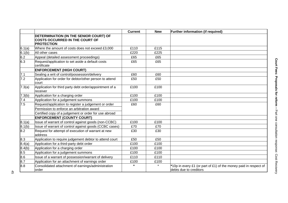|        |                                                                                                      | <b>Current</b> | <b>New</b> | Further information (if required)                                                          |
|--------|------------------------------------------------------------------------------------------------------|----------------|------------|--------------------------------------------------------------------------------------------|
|        | DETERMINATION (IN THE SENIOR COURT) OF<br><b>COSTS OCCURRED IN THE COURT OF</b><br><b>PROTECTION</b> |                |            |                                                                                            |
| 6.1(a) | Where the amount of costs does not exceed £3,000                                                     | £110           | £115       |                                                                                            |
| 6.1(b) | All other cases                                                                                      | £220           | £225       |                                                                                            |
| 6.2    | Appeal (detailed assessment proceedings)                                                             | £65            | £65        |                                                                                            |
| 6.3    | Request/application to set aside a default costs<br>certificate                                      | £65            | £65        |                                                                                            |
|        | <b>ENFORCEMENT (HIGH COURT)</b>                                                                      |                |            |                                                                                            |
| 7.1    | Sealing a writ of control/possession/delivery                                                        | £60            | £60        |                                                                                            |
| 7.2    | Application for order for debtor/other person to attend<br>court                                     | £50            | £50        |                                                                                            |
| 7.3(a) | Application for third party debt order/appointment of a<br>receiver                                  | £100           | £100       |                                                                                            |
| 7.3(b) | Application for a charging order                                                                     | £100           | £100       |                                                                                            |
| 7.4    | Application for a judgement summons                                                                  | £100           | £100       |                                                                                            |
| 7.5    | Request/application to register a judgement or order                                                 | £60            | £60        |                                                                                            |
|        | Permission to enforce an arbitration award                                                           |                |            |                                                                                            |
|        | Certified copy of a judgement or order for use abroad                                                |                |            |                                                                                            |
|        | <b>ENFORCEMENT (COUNTY COURT)</b>                                                                    |                |            |                                                                                            |
| 8.1(a) | Issue of warrant of control against goods (non-CCBC)                                                 | £100           | £100       |                                                                                            |
| 8.1(b) | Issue of warrant of control against goods (CCBC cases)                                               | £70            | £70        |                                                                                            |
| 8.2    | Request for attempt of execution of warrant at new<br>address                                        | £30            | £30        |                                                                                            |
| 8.3    | Application to require judgement debtor to attend court                                              | £50            | £50        |                                                                                            |
| 8.4(a) | Application for a third-party debt order                                                             | £100           | £100       |                                                                                            |
| 8.4(b) | Application for a charging order                                                                     | £100           | £100       |                                                                                            |
| 8.5    | Application for a judgement summons                                                                  | £100           | £100       |                                                                                            |
| 8.6    | Issue of a warrant of possession/warrant of delivery                                                 | £110           | £110       |                                                                                            |
| 8.7    | Application for an attachment of earnings order                                                      | £100           | £100       |                                                                                            |
| 8.8    | Consolidated attachment of earnings/administration<br>order                                          | $\star$        | $\star$    | *10p in every £1 (or part of £1) of the money paid in respect of<br>debts due to creditors |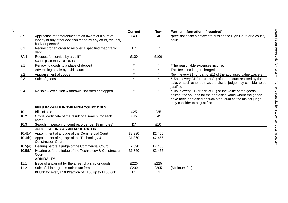|         |                                                                                                                                    | <b>Current</b> | <b>New</b> | <b>Further information (if required)</b>                                                                                                                                                                                 |
|---------|------------------------------------------------------------------------------------------------------------------------------------|----------------|------------|--------------------------------------------------------------------------------------------------------------------------------------------------------------------------------------------------------------------------|
| 8.9     | Application for enforcement of an award of a sum of<br>money or any other decision made by any court, tribunal,<br>body or person* | £40            | £40        | *(decisions taken anywhere outside the High Court or a county<br>court)                                                                                                                                                  |
| 8.1     | Request for an order to recover a specified road traffic<br>debt                                                                   | £7             | £7         |                                                                                                                                                                                                                          |
| 8A.1    | Request for service by a bailiff                                                                                                   | £100           | £100       |                                                                                                                                                                                                                          |
|         | <b>SALE (COUNTY COURT)</b>                                                                                                         |                |            |                                                                                                                                                                                                                          |
| 9.1     | Removing goods to a place of deposit                                                                                               | $\star$        | $\star$    | The reasonable expenses incurred                                                                                                                                                                                         |
|         | Advertising a sale by public auction                                                                                               | $\star$        | $\star$    | This fee is no longer charged                                                                                                                                                                                            |
| 9.2     | Appraisement of goods                                                                                                              | $\star$        | $\star$    | *5p in every £1 (or part of £1) of the appraised value was 9.3                                                                                                                                                           |
| 9.3     | Sale of goods                                                                                                                      | $\star$        | $\star$    | *15p in every £1 (or part of £1) of the amount realised by the<br>sale, or such other sum as the district judge may consider to be<br>justified                                                                          |
| 9.4     | No sale – execution withdrawn, satisfied or stopped                                                                                | $\star$        | $\star$    | *10p in every £1 (or part of £1) or the value of the goods<br>seized, the value to be the appraised value where the goods<br>have been appraised or such other sum as the district judge<br>may consider to be justified |
|         | FEES PAYABLE IN THE HIGH COURT ONLY                                                                                                |                |            |                                                                                                                                                                                                                          |
| 10.1    | <b>Bills of sale</b>                                                                                                               | £25            | £25        |                                                                                                                                                                                                                          |
| 10.2    | Official certificate of the result of a search (for each<br>name)                                                                  | £45            | £45        |                                                                                                                                                                                                                          |
| 10.3    | Search, in person, of court records (per 15 minutes)                                                                               | £7             | £10        |                                                                                                                                                                                                                          |
|         | <b>JUDGE SITTING AS AN ARBITRATOR</b>                                                                                              |                |            |                                                                                                                                                                                                                          |
| 10.4(a) | Appointment of a judge of the Commercial Court                                                                                     | £2,390         | £2,455     |                                                                                                                                                                                                                          |
| 10.4(b) | Appointment of a judge of the Technology &<br><b>Construction Court</b>                                                            | £1,860         | £2,455     |                                                                                                                                                                                                                          |
| 10.5(a) | Hearing before a judge of the Commercial Court                                                                                     | £2,390         | £2,455     |                                                                                                                                                                                                                          |
| 10.5(b) | Hearing before a judge of the Technology & Construction<br>Court                                                                   | £1,860         | £2,455     |                                                                                                                                                                                                                          |
|         | <b>ADMIRALTY</b>                                                                                                                   |                |            |                                                                                                                                                                                                                          |
| 11.1    | Issue of a warrant for the arrest of a ship or goods                                                                               | £220           | £225       |                                                                                                                                                                                                                          |
| 11.2    | Sale of ship or goods (minimum fee)                                                                                                | £200           | £205       | (Minimum fee)                                                                                                                                                                                                            |
|         | PLUS: for every £100/fraction of £100 up to £100,000                                                                               | £1             | £1         |                                                                                                                                                                                                                          |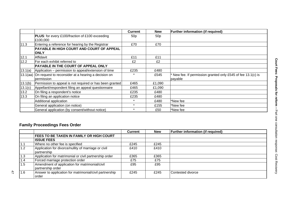|          |                                                                   | <b>Current</b> | <b>New</b>      | <b>Further information (if required)</b>                                |
|----------|-------------------------------------------------------------------|----------------|-----------------|-------------------------------------------------------------------------|
|          | PLUS: for every £100/fraction of £100 exceeding<br>£100,000       | 50p            | 50 <sub>p</sub> |                                                                         |
| 11.3     | Entering a reference for hearing by the Registrar                 | £70            | £70             |                                                                         |
|          | PAYABLE IN HIGH COURT AND COURT OF APPEAL<br><b>ONLY</b>          |                |                 |                                                                         |
| 12.1     | Affidavit                                                         | £11            | £11             |                                                                         |
| 12.2     | For each exhibit referred to                                      | £2             | £2              |                                                                         |
|          | PAYABLE IN THE COURT OF APPEAL ONLY                               |                |                 |                                                                         |
| 13.1(a)  | Application – permission to appeal/extension of time              | £235           | £480            |                                                                         |
| 13.1(aa) | On request to reconsider at a hearing a decision on<br>permission | $\star$        | £545            | * New fee. If permission granted only £545 of fee 13.1(c) is<br>payable |
| 13.1(b)  | Permission to appeal is not required or has been granted          | £465           | £1,090          |                                                                         |
| 13.1(c)  | Appellant/respondent filing an appeal questionnaire               | £465           | £1,090          |                                                                         |
| 13.2     | On filing a respondent's notice                                   | £235           | £480            |                                                                         |
| 13.3     | On filing an application notice                                   | £235           | £480            |                                                                         |
|          | Additional application                                            | $\star$        | £480            | *New fee                                                                |
|          | General application (on notice)                                   | $\star$        | £155            | *New fee                                                                |
|          | General application (by consent/without notice)                   | $\star$        | £50             | *New fee                                                                |

## **Family Proceedings Fees Order**

|     |                                                                      | <b>Current</b> | <b>New</b> | <b>Further information (if required)</b> |
|-----|----------------------------------------------------------------------|----------------|------------|------------------------------------------|
|     | <b>FEES TO BE TAKEN IN FAMILY OR HIGH COURT</b>                      |                |            |                                          |
|     | <b>ISSUE FEES</b>                                                    |                |            |                                          |
| 1.1 | Where no other fee is specified                                      | £245           | £245       |                                          |
| 1.2 | Application for divorce/nullity of marriage or civil<br> partnership | £410           | £410       |                                          |
| 1.3 | Application for matrimonial or civil partnership order               | £365           | £365       |                                          |
| 1.4 | Forced marriage protection order                                     | £75            | £75        |                                          |
| 1.5 | Amendment of application for matrimonial/civil<br>partnership order  | £95            | £95        |                                          |
| 1.6 | Answer to application for matrimonial/civil partnership<br>order     | £245           | £245       | Contested divorce                        |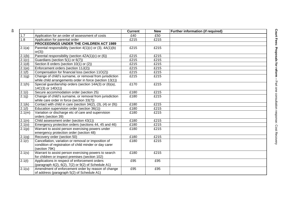|        |                                                                                                                                | <b>Current</b> | <b>New</b> | <b>Further information (if required)</b> |
|--------|--------------------------------------------------------------------------------------------------------------------------------|----------------|------------|------------------------------------------|
| 1.7    | Application for an order of assessment of costs                                                                                | £40            | £50        |                                          |
| 1.8    | Application for parental order                                                                                                 | £215           | £215       |                                          |
|        | PROCEEDINGS UNDER THE CHILDREN ACT 1989                                                                                        |                |            |                                          |
| 2.1(a) | Parental responsibility (section 4(1)(c) or (3), 4A(1)(b)<br>or(3)                                                             | £215           | £215       |                                          |
| 2.1(b) | Parental responsibility (section 4ZA(1)(c) or (6))                                                                             | £215           | £215       |                                          |
| 2.1(c) | Guardians (section 5(1) or 6(7))                                                                                               | £215           | £215       |                                          |
| 2.1(d) | Section 8 orders (section 10(1) or (2))                                                                                        | £215           | £215       |                                          |
| 2.1(e) | Enforcement orders (section 11J(2))                                                                                            | £215           | £215       |                                          |
| 2.1(f) | Compensation for financial loss (section 11O(2))                                                                               | £215           | £215       |                                          |
| 2.1(g) | Change of child's surname, or removal from jurisdiction<br>while child arrangements order in force (section 13(1))             | £215           | £215       |                                          |
| 2.1(h) | Special guardianship orders (section 14A(3) or (6)(a),<br>$14C(3)$ or $14D(1)$ )                                               | £170           | £215       |                                          |
| 2.1(i) | Secure accommodation order (section 25)                                                                                        | £180           | £215       |                                          |
| 2.1(j) | Change of child's surname, or removal from jurisdiction<br>while care order in force (section 33(7))                           | £180           | £215       |                                          |
| 2.1(k) | Contact with child in care (section 34(2), (3), (4) or (9))                                                                    | £180           | £215       |                                          |
| 2.1(l) | Education supervision order (section 36(1))                                                                                    | £180           | £215       |                                          |
| 2.1(m) | Variation or discharge etc of care and supervision<br>orders (section 39)                                                      | £180           | £215       |                                          |
| 2.1(n) | Child assessment order (section 43(1))                                                                                         | £180           | £215       |                                          |
| 2.1(0) | Emergency protection orders (sections 44, 45 and 46)                                                                           | £180           | £215       |                                          |
| 2.1(p) | Warrant to assist person exercising powers under<br>emergency protection order (section 48)                                    | £180           | £215       |                                          |
| 2.1(q) | Recovery order (section 50)                                                                                                    | £180           | £215       |                                          |
| 2.1(r) | Cancellation, variation or removal or imposition of<br>condition of registration of child minder or day carer<br>(section 79K) | £180           | £215       |                                          |
| 2.1(s) | Warrant to assist person exercising powers to search<br>for children or inspect premises (section 102)                         | £180           | £215       |                                          |
| 2.1(t) | Applications in respect of enforcement orders<br>(paragraph 4(2), 6(2), 7(2) or 9(2) of Schedule A1)                           | £95            | £95        |                                          |
| 2.1(u) | Amendment of enforcement order by reason of change<br>of address (paragraph 5(2) of Schedule A1)                               | £95            | £95        |                                          |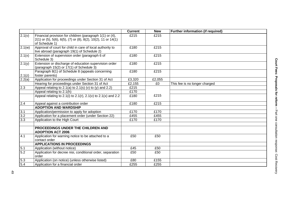|                     |                                                                                                                                               | <b>Current</b> | <b>New</b> | Further information (if required) |
|---------------------|-----------------------------------------------------------------------------------------------------------------------------------------------|----------------|------------|-----------------------------------|
| $\overline{2.1(v)}$ | Financial provision for children (paragraph 1(1) or (4),<br>$2(1)$ or (5), 5(6), 6(5), (7) or (8), 8(2), 10(2), 11 or 14(1)<br>of Schedule 1) | £215           | £215       |                                   |
| 2.1(w)              | Approval of court for child in care of local authority to<br>live abroad (paragraph 19(1) of Schedule 2)                                      | £180           | £215       |                                   |
| 2.1(x)              | Extension of supervision order (paragraph 6 of<br>Schedule 3)                                                                                 | £180           | £215       |                                   |
| $\sqrt{2.1(y)}$     | Extension or discharge of education supervision order<br>(paragraph 15(2) or 17(1) of Schedule 3)                                             | £180           | £215       |                                   |
| 2.1(z)              | Paragraph 8(1) of Schedule 8 (appeals concerning<br>foster parents)                                                                           | £180           | £215       |                                   |
| 2.2(a)              | Application for proceedings under Section 31 of Act                                                                                           | £3,320         | £2,055     |                                   |
|                     | Hearing for proceedings under Section 31 of Act                                                                                               | £2,155         | £0         | This fee is no longer charged     |
| 2.3                 | Appeal relating to $2.1(a)$ to $2.1(s)$ (v) to (y) and $2.2$ )                                                                                | £215           |            |                                   |
|                     | Appeal relating to 2.1(h)                                                                                                                     | £170           |            |                                   |
|                     | Appeal relating to 2.1(i) to 2.1(r), 2.1(v) to 2.1(x) and 2.2                                                                                 | £180           | £215       |                                   |
| 2.4                 | Appeal against a contribution order                                                                                                           | £180           | £215       |                                   |
|                     | <b>ADOPTION AND WARDSHIP</b>                                                                                                                  |                |            |                                   |
| 3.1                 | Application/permission to apply for adoption                                                                                                  | £170           | £170       |                                   |
| 3.2                 | Application for a placement order (under Section 22)                                                                                          | £455           | £455       |                                   |
| 3.3                 | Application to the High Court                                                                                                                 | £170           | £170       |                                   |
|                     |                                                                                                                                               |                |            |                                   |
|                     | PROCEEDINGS UNDER THE CHILDREN AND<br><b>ADOPTION ACT 2006</b>                                                                                |                |            |                                   |
| 4.1                 | Application for warning notice to be attached to a<br>contact order                                                                           | £50            | £50        |                                   |
|                     | <b>APPLICATIONS IN PROCEEDINGS</b>                                                                                                            |                |            |                                   |
| 5.1                 | Application (without notice)                                                                                                                  | £45            | £50        |                                   |
| 5.2                 | Application for decree nisi, conditional order, separation<br>order                                                                           | £50            | £50        |                                   |
| 5.3                 | Application (on notice) (unless otherwise listed)                                                                                             | £80            | £155       |                                   |
| 5.4                 | Application for a financial order                                                                                                             | £255           | £255       |                                   |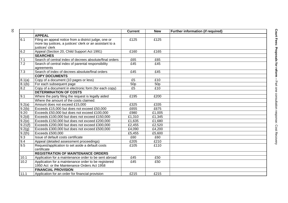|                  |                                                           | <b>Current</b>  | <b>New</b>      | <b>Further information (if required)</b> |
|------------------|-----------------------------------------------------------|-----------------|-----------------|------------------------------------------|
|                  | <b>APPEAL</b>                                             |                 |                 |                                          |
| 6.1              | Filing an appeal notice from a district judge, one or     | £125            | £125            |                                          |
|                  | more lay justices, a justices' clerk or an assistant to a |                 |                 |                                          |
|                  | justices' clerk                                           |                 |                 |                                          |
| 6.2              | Appeal (Section 20, Child Support Act 1991)               | £160            | £165            |                                          |
|                  | <b>SEARCHES</b>                                           |                 |                 |                                          |
| 7.1              | Search of central index of decrees absolute/final orders  | £65             | £65             |                                          |
| $\overline{7.2}$ | Search of central index of parental responsibility        | E45             | £45             |                                          |
|                  | agreements                                                |                 |                 |                                          |
| 7.3              | Search of index of decrees absolute/final orders          | £45             | £45             |                                          |
|                  | <b>COPY DOCUMENTS</b>                                     |                 |                 |                                          |
| 8.1(a)           | Copy of a document (10 pages or less)                     | £5              | £10             |                                          |
| 8.1(b)           | For each subsequent page                                  | 50 <sub>p</sub> | 50 <sub>p</sub> |                                          |
| 8.2              | Copy of a document in electronic form (for each copy)     | £5              | £10             |                                          |
|                  | <b>DETERMINATION OF COSTS</b>                             |                 |                 |                                          |
| 9.1              | Where the party filing the request is legally aided       | £195            | £200            |                                          |
|                  | Where the amount of the costs claimed:                    |                 |                 |                                          |
| 9.2(a)           | Amount does not exceed £15,000                            | £325            | £335            |                                          |
| 9.2(b)           | Exceeds £15,000 but does not exceed £50,000               | £655            | £675            |                                          |
| 9.2 <sup>°</sup> | Exceeds £50,000 but does not exceed £100,000              | £980            | £1,005          |                                          |
| 9.2(d)           | Exceeds £100,000 but does not exceed £150,000             | £1,310          | £1,345          |                                          |
| 9.2(e)           | Exceeds £150,000 but does not exceed £200,000             | £1,635          | £1,680          |                                          |
| 9.21(f)          | Exceeds £200,000 but does not exceed £300,000             | £2,455          | £2,520          |                                          |
| 9.2(g)           | Exceeds £300,000 but does not exceed £500,000             | £4,090          | £4,200          |                                          |
| 9.2(h)           | Exceeds £500,000                                          | £5,455          | £5,600          |                                          |
| 9.3              | Issue of default costs certificate                        | E60             | £60             |                                          |
| 9.4              | Appeal (detailed assessment proceedings)                  | £205            | £210            |                                          |
| 9.5              | Request/application to set aside a default costs          | £105            | £110            |                                          |
|                  | certificate                                               |                 |                 |                                          |
|                  | <b>REGISTRATION OF MAINTENANCE ORDERS</b>                 |                 |                 |                                          |
| 10.1             | Application for a maintenance order to be sent abroad     | £45             | £50             |                                          |
| 10.2             | Application for a maintenance order to be registered      | £45             | £50             |                                          |
|                  | 1950 Act or the Maintenance Orders Act 1958               |                 |                 |                                          |
|                  | <b>FINANCIAL PROVISION</b>                                |                 |                 |                                          |
| 11.1             | Application for an order for financial provision          | £215            | £215            |                                          |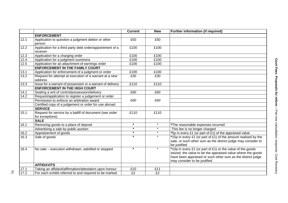|      |                                                            | <b>Current</b> | <b>New</b> | Further information (if required)                              |
|------|------------------------------------------------------------|----------------|------------|----------------------------------------------------------------|
|      | <b>ENFORCEMENT</b>                                         |                |            |                                                                |
| 12.1 | Application to question a judgment debtor or other         | £50            | £50        |                                                                |
|      | person                                                     |                |            |                                                                |
| 12.2 | Application for a third party debt order/appointment of a  | £100           | £100       |                                                                |
|      | receiver                                                   |                |            |                                                                |
| 12.3 | Application for a charging order                           | £100           | £100       |                                                                |
| 12.4 | Application for a judgment summons                         | £100           | £100       |                                                                |
| 12.5 | Application for an attachment of earnings order            | £100           | £100       |                                                                |
|      | <b>ENFORCEMENT IN THE FAMILY COURT</b>                     |                |            |                                                                |
| 13.1 | Application for enforcement of a judgment or order         | £100           | £100       |                                                                |
| 13.2 | Request for attempt at execution of a warrant at a new     | E30            | E30        |                                                                |
|      | address                                                    |                |            |                                                                |
| 13.3 | Issue for a warrant of possession or a warrant of delivery | £110           | £110       |                                                                |
|      | <b>ENFORCEMENT IN THE HIGH COURT</b>                       |                |            |                                                                |
| 14.1 | Sealing a writ of control/possession/delivery              | £60            | £60        |                                                                |
| 14.2 | Request/application to register a judgement or order       |                |            |                                                                |
|      | Permission to enforce an arbitration award                 | £60            | £60        |                                                                |
|      | Certified copy of a judgement or order for use abroad      |                |            |                                                                |
|      | <b>SERVICE</b>                                             |                |            |                                                                |
| 15.1 | Request for service by a bailiff of document (see order    | £110           | £110       |                                                                |
|      | for exceptions)                                            |                |            |                                                                |
|      | <b>SALE</b>                                                |                |            |                                                                |
| 16.1 | Removing goods to a place of deposit                       | $\star$        | $\star$    | *The reasonable expenses incurred                              |
|      | Advertising a sale by public auction                       | $\star$        | $\star$    | This fee is no longer charged                                  |
| 16.2 | Appraisement of goods                                      | $\star$        | $\star$    | *5p in every £1 (or part of £1) of the appraised value         |
| 16.3 | Sale of goods                                              | $\star$        | $\star$    | *15p in every £1 (or part of £1) of the amount realised by the |
|      |                                                            |                |            | sale, or such other sum as the district judge may consider to  |
|      |                                                            |                |            | be justified                                                   |
| 16.4 | No sale - execution withdrawn, satisfied or stopped        | $\star$        | $\star$    | *10p in every £1 (or part of £1) or the value of the goods     |
|      |                                                            |                |            | seized, the value to be the appraised value where the goods    |
|      |                                                            |                |            | have been appraised or such other sum as the district judge    |
|      |                                                            |                |            | may consider to be justified                                   |
|      | <b>AFFIDAVITS</b>                                          |                |            |                                                                |
| 17.1 | Taking an affidavit/affirmation/attestation upon honour    | £10            | £11        |                                                                |
| 17.2 | For each exhibit referred to and required to be marked     | E2             | E2         |                                                                |

51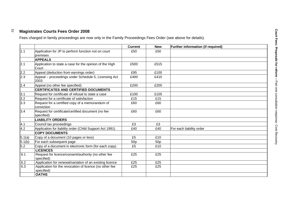## 52 **Magistrates Courts Fees Order 2008**

Fees charged in family proceedings are now only in the Family Proceedings Fees Order (see above for details).

|        |                                                                       | <b>Current</b>  | <b>New</b> | <b>Further information (if required)</b> |
|--------|-----------------------------------------------------------------------|-----------------|------------|------------------------------------------|
| 1.1    | Application for JP to perform function not on court<br>premises       | £50             | £50        |                                          |
|        | <b>APPEALS</b>                                                        |                 |            |                                          |
| 2.1    | Application to state a case for the opinion of the High<br>Court      | £500            | £515       |                                          |
| 2.2    | Appeal (deduction from earnings order)                                | £95             | £100       |                                          |
| 2.3    | Appeal - proceedings under Schedule 5, Licensing Act<br>2003          | £400            | £410       |                                          |
| 2.4    | Appeal (no other fee specified)                                       | £200            | £205       |                                          |
|        | <b>CERTIFICATES AND CERTIFIED DOCUMENTS</b>                           |                 |            |                                          |
| 3.1    | Request for certificate of refusal to state a case                    | £100            | £105       |                                          |
| 3.2    | Request for a certificate of satisfaction                             | £15             | £15        |                                          |
| 3.3    | Request for a certified copy of a memorandum of<br>conviction         | £60             | £60        |                                          |
| 3.4    | Request for certificate/certified document (no fee<br>specified)      | £60             | £60        |                                          |
|        | <b>LIABILITY ORDERS</b>                                               |                 |            |                                          |
| 4.1    | Council tax proceedings                                               | £3              | £3         |                                          |
| 4.2    | Application for liability order (Child Support Act 1991)              | £40             | £40        | For each liability order                 |
|        | <b>COPY DOCUMENTS</b>                                                 |                 |            |                                          |
| 5.1(a) | Copy of a document (10 pages or less)                                 | £5              | £10        |                                          |
| 5.1(b) | For each subsequent page                                              | 50 <sub>p</sub> | 50p        |                                          |
| 5.2    | Copy of a document in electronic form (for each copy)                 | £5              | £10        |                                          |
|        | <b>LICENCES</b>                                                       |                 |            |                                          |
| 6.1    | Request for licence/consent/authority (no other fee<br>specified)     | £25             | £25        |                                          |
| 6.2    | Application for renewal/variation of an existing licence              | £25             | £25        |                                          |
| 6.3    | Application for the revocation of licence (no other fee<br>specified) | £25             | £25        |                                          |
|        | <b>OATHS</b>                                                          |                 |            |                                          |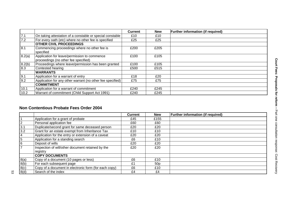|        |                                                            | <b>Current</b> | <b>New</b> | <b>Further information (if required)</b> |
|--------|------------------------------------------------------------|----------------|------------|------------------------------------------|
| 7.1    | On taking attestation of a constable or special constable  | £10            | £10        |                                          |
| 7.2    | For every oath (etc) where no other fee is specified       | £25            | £25        |                                          |
|        | <b>OTHER CIVIL PROCEEDINGS</b>                             |                |            |                                          |
| 8.1    | Commencing proceedings where no other fee is<br>specified  | £200           | £205       |                                          |
| 8.2(a) | Application for leave/permission to commence               | £100           | £105       |                                          |
|        | proceedings (no other fee specified)                       |                |            |                                          |
| 8.2(b) | Proceedings where leave/permission has been granted        | £100           | £105       |                                          |
| 8.3    | Contested hearing                                          | £500           | £515       |                                          |
|        | <b>WARRANTS</b>                                            |                |            |                                          |
| 9.1    | Application for a warrant of entry                         | £18            | £20        |                                          |
| 9.2    | Application for any other warrant (no other fee specified) | £75            | £75        |                                          |
|        | <b>COMMITMENT</b>                                          |                |            |                                          |
| 10.1   | Application for a warrant of commitment                    | £240           | £245       |                                          |
| 10.2   | Warrant of commitment (Child Support Act 1991)             | £240           | £245       |                                          |

#### **Non Contentious Probate Fees Order 2004**

|      |                                                               | <b>Current</b> | <b>New</b>      | <b>Further information (if required)</b> |
|------|---------------------------------------------------------------|----------------|-----------------|------------------------------------------|
|      | Application for a grant of probate                            | £45            | £155            |                                          |
| 2    | Personal application fee                                      | £60            | £60             |                                          |
| 3.1  | Duplicate/second grant for same deceased person               | £20            | £20             |                                          |
| 3.2  | Grant for an estate exempt from Inheritance Tax               | £10            | £10             |                                          |
| 4    | Application for the entry or extension of a caveat            | £20            | £20             |                                          |
| 5    | Application for a standing search                             | £6             | £10             |                                          |
| 6    | Deposit of wills                                              | £20            | £20             |                                          |
| 17   | Inspection of will/other document retained by the<br>registry | £20            | £20             |                                          |
|      | <b>COPY DOCUMENTS</b>                                         |                |                 |                                          |
| 8(a) | Copy of a document (10 pages or less)                         | £6             | £10             |                                          |
| 8(b) | For each subsequent page                                      | £1             | 50 <sub>p</sub> |                                          |
| 8(c) | Copy of a document in electronic form (for each copy)         | £6             | £10             |                                          |
| 8(d) | Search of the index                                           | £4             | £4              |                                          |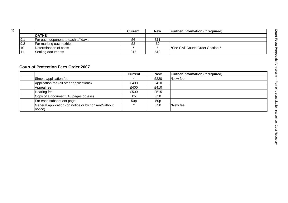| ហ<br>4 |      |                                     | Current | <b>New</b> | <b>Further information (if required)</b>       |
|--------|------|-------------------------------------|---------|------------|------------------------------------------------|
|        |      | <b>OATHS</b>                        |         |            |                                                |
|        | '9.′ | For each deponent to each affidavit | £6      | £1.        |                                                |
|        | 9.2  | For marking each exhibit            |         | rn<br>ᅩ    |                                                |
|        | 10   | Determination of costs              |         |            | <sup>1</sup> *See Civil Courts Order Section 5 |
|        |      | Settling documents                  | £12     | £12        |                                                |

#### **Court of Protection Fees Order 2007**

|                                                                 | <b>Current</b>  | <b>New</b>      | <b>Further information (if required)</b> |
|-----------------------------------------------------------------|-----------------|-----------------|------------------------------------------|
| Simple application fee                                          |                 | £220            | *New fee                                 |
| Application fee (all other applications)                        | £400            | £410            |                                          |
| Appeal fee                                                      | £400            | £410            |                                          |
| Hearing fee                                                     | £500            | £515            |                                          |
| Copy of a document (10 pages or less)                           | £5              | £10             |                                          |
| For each subsequent page                                        | 50 <sub>p</sub> | 50 <sub>p</sub> |                                          |
| General application (on notice or by consent/without<br>notice) |                 | £50             | *New fee                                 |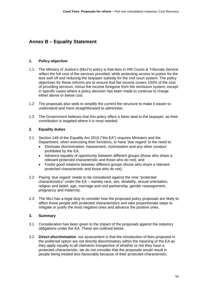## <span id="page-57-0"></span>**Annex B – Equality Statement**

#### **1. Policy objective:**

- 1.1 The Ministry of Justice's (MoJ's) policy is that fees in HM Courts & Tribunals Service reflect the full cost of the services provided, while protecting access to justice for the less well off and reducing the taxpayer subsidy for the civil court system. The policy objectives for these reforms are to ensure that fee income covers 100% of the cost of providing services, minus the income foregone from the remission system; except in specific cases where a policy decision has been made to continue to charge either above or below cost.
- 1.2 The proposals also seek to simplify the current fee structure to make it easier to understand and more straightforward to administer.
- 1.3 The Government believes that this policy offers a fairer deal to the taxpayer, as their contribution is targeted where it is most needed.

#### **2. Equality duties**

- 2.1 Section 149 of the Equality Act 2010 ("the EA") requires Ministers and the Department, when exercising their functions, to have 'due regard' to the need to:
	- Eliminate discrimination, harassment, victimisation and any other conduct prohibited by the EA;
	- Advance equality of opportunity between different groups (those who share a relevant protected characteristic and those who do not); and
	- Foster good relations between different groups (those who share a relevant protected characteristic and those who do not).
- 2.2 Paying 'due regard' needs to be considered against the nine "protected characteristics" under the EA – namely race, sex, disability, sexual orientation, religion and belief, age, marriage and civil partnership, gender reassignment, pregnancy and maternity.
- 2.3 The MoJ has a legal duty to consider how the proposed policy proposals are likely to affect those people with protected characteristics and take proportionate steps to mitigate or justify the most negative ones and advance the positive ones.

#### **3. Summary**

- 3.1 Consideration has been given to the impact of the proposals against the statutory obligations under the EA. These are outlined below.
- 3.2 *Direct discrimination*: our assessment is that the introduction of fees proposed in the preferred option are not directly discriminatory within the meaning of the EA as they apply equally to all claimants irrespective of whether or not they have a protected characteristic; we do not consider that the proposals would result in people being treated less favourably because of their protected characteristic.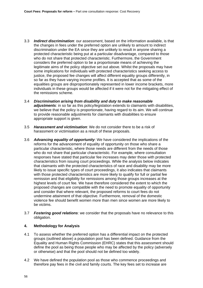- 3.3 *Indirect discrimination*: our assessment, based on the information available, is that the changes in fees under the preferred option are unlikely to amount to indirect discrimination under the EA since they are unlikely to result in anyone sharing a protected characteristic being put at a particular disadvantage, compared to those who do not share that protected characteristic. Furthermore, the Government considers the preferred option to be a proportionate means of achieving the legitimate aims of the policy objective set out above. Whilst the proposals may have some implications for individuals with protected characteristics seeking access to justice, the proposed fee changes will affect different equality groups differently, in so far as they have varying income profiles. It is accepted that as some of the equalities groups are disproportionately represented in lower income brackets, more individuals in these groups would be affected if it were not for the mitigating effect of the remissions scheme.
- 3.4 *Discrimination arising from disability and duty to make reasonable adjustments*: in so far as this policy/legislation extends to claimants with disabilities, we believe that the policy is proportionate, having regard to its aim. We will continue to provide reasonable adjustments for claimants with disabilities to ensure appropriate support is given.
- 3.5 *Harassment and victimisation*: We do not consider there to be a risk of harassment or victimisation as a result of these proposals.
- 3.6 *Advancing equality of opportunity*: We have considered the implications of the reforms for the advancement of equality of opportunity on those who share a particular characteristic, where those needs are different from the needs of those who do not share that particular characteristic. For example, where consultation responses have stated that particular fee increases may deter those with protected characteristics from issuing court proceedings. While the analysis below indicates that claimants with the protected characteristics of race and disability may be more likely to issue specific types of court proceedings, it also indicates that claimants with those protected characteristics are more likely to qualify for full or partial fee remission and that eligibility for remissions among those groups increases at the highest levels of court fee. We have therefore considered the extent to which the proposed changes are compatible with the need to promote equality of opportunity and consider that where relevant, the proposed reforms to court fees do not undermine attainment of that objective. Furthermore, removal of the domestic violence fee should benefit women more than men since women are more likely to be victims.
- 3.7 *Fostering good relations*: we consider that the proposals have no relevance to this obligation.

#### **4. Methodology for Analysis**

- 4.1 To assess whether the preferred option has a differential impact on the protected groups (outlined above) a population pool has been defined. Guidance from the Equality and Human Rights Commission (EHRC) states that this assessment should define the pool as being those people who may be affected by the policy (adversely or otherwise) and that the pool should not be defined too widely.
- 4.2 We have defined the population pool as those who commence proceedings and therefore pay fees in the civil and family courts. The key fees set to increase are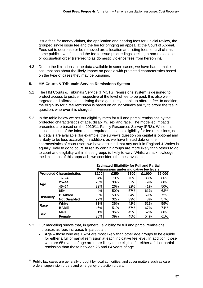issue fees for money claims, the application and hearing fees for judicial review, the grouped single issue fee and the fee for bringing an appeal at the Court of Appeal. Fees set to decrease or be removed are allocation and listing fees for civil claims, some public law<sup>10</sup> fees and the fee to issue proceedings seeking a non-molestation or occupation order (referred to as domestic violence fees from hereon in).

4.3 Due to the limitations in the data available in some cases, we have had to make assumptions about the likely impact on people with protected characteristics based on the type of cases they may be pursuing.

#### **5. HM Courts & Tribunals Service Remissions System**

- 5.1 The HM Courts & Tribunals Service (HMCTS) remissions system is designed to protect access to justice irrespective of the level of fee to be paid. It is also welltargeted and affordable, assisting those genuinely unable to afford a fee. In addition, the eligibility for a fee remission is based on an individual's ability to afford the fee in question, wherever it is charged.
- 5.2 In the table below we set out eligibility rates for full and partial remissions by the protected characteristics of age, disability, sex and race. The modelled impacts presented are based on the 2010/11 Family Resources Survey (FRS). While this includes much of the information required to assess eligibility for fee remissions, not all details are available (for example, the survey's question on capital is optional and is likely to be less accurate). In addition, as we have limited data on the characteristics of court users we have assumed that any adult in England & Wales is equally likely to go to court. In reality certain groups are more likely than others to go to court and eligibility within these groups is likely to vary. Whilst we acknowledge the limitations of this approach, we consider it the best available.

|                   |                                  | <b>Estimated Eligibility for Full and Partial</b><br>Remissions under indicative fee levels |      |      |        |        |  |  |
|-------------------|----------------------------------|---------------------------------------------------------------------------------------------|------|------|--------|--------|--|--|
|                   | <b>Protected Characteristics</b> | £100                                                                                        | £250 | £500 | £1,000 | £2,000 |  |  |
|                   | $16 - 24$                        | 64%                                                                                         | 70%  | 76%  | 83%    | 86%    |  |  |
|                   | $25 - 44$                        | 26%                                                                                         | 30%  | 37%  | 49%    | 60%    |  |  |
| Age               | $45 - 64$                        | 22%                                                                                         | 26%  | 32%  | 41%    | 50%    |  |  |
|                   | $65+$                            | 44%                                                                                         | 50%  | 57%  | 61%    | 63%    |  |  |
| <b>Disability</b> | <b>Disabled</b>                  | 53%                                                                                         | 58%  | 64%  | 69%    | 72%    |  |  |
|                   | <b>Not Disabled</b>              | 27%                                                                                         | 32%  | 39%  | 48%    | 57%    |  |  |
| Race              | White                            | 31%                                                                                         | 36%  | 42%  | 51%    | 59%    |  |  |
|                   | <b>BAME</b>                      | 46%                                                                                         | 51%  | 57%  | 67%    | 74%    |  |  |
| <b>Sex</b>        | <b>Male</b>                      | 31%                                                                                         | 36%  | 43%  | 52%    | 60%    |  |  |
|                   | <b>Female</b>                    | 35%                                                                                         | 39%  | 45%  | 54%    | 61%    |  |  |

- 5.3 Our modelling shows that, in general, eligibility for full and partial remissions increases as fees increase. In particular,
	- **Age** those who are 16-24 are most likely than other age groups to be eligible for either a full or partial remission at each indicative fee level. In addition, those who are 65+ yeas of age are more likely to be eligible for either a full or partial remission than those between 25 and 64 years of age.

-

Public law cases are generally brought by local authorities, and cover matters such as care orders, supervision orders and emergency protection orders.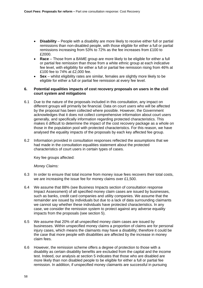- **Disability** People with a disability are more likely to receive either full or partial remissions than non-disabled people, with those eligible for either a full or partial remissions increasing from 53% to 72% as the fee increases from £100 to £2000.
- **Race**  Those from a BAME group are more likely to be eligible for either a full or partial fee remission than those from a white ethnic group at each indicative fee level, with eligibility for either a full or partial fee remission rising from 46% at £100 fee to 74% at £2,000 fee.
- **Sex** whilst eligibility rates are similar, females are slightly more likely to be eligible for either a full or partial fee remission at every fee level.

#### **6. Potential equalities impacts of cost recovery proposals on users in the civil court system and mitigations**

- 6.1 Due to the nature of the proposals included in this consultation, any impact on different groups will primarily be financial. Data on court users who will be affected by the proposal has been collected where possible. However, the Government acknowledges that it does not collect comprehensive information about court users generally, and specifically information regarding protected characteristics. This makes it difficult to determine the impact of the cost recovery package as a whole on those in the population pool with protected characteristics. For this reason, we have analysed the equality impacts of the proposals by each key affected fee group.
- 6.2 Information provided in consultation responses reflected the assumptions that we had made in the consultation equalities statement about the protected characteristics of court users in certain types of cases.

Key fee groups affected:

#### *Money Claims:*

- 6.3 In order to ensure that total income from money issue fees recovers their total costs, we are increasing the issue fee for money claims over £1,500.
- 6.4 We assume that 88% (see Business Impacts section of consultation response Impact Assessment) of all specified money claim cases are issued by businesses, such as banks, credit card companies and utility companies. We assume that the remainder are issued by individuals but due to a lack of data surrounding claimants we cannot say whether these individuals have protected characteristics. In any case, we consider the remission system to protect against any adverse equality impacts from the proposals (see section 5).
- 6.5 We assume that 20% of all unspecified money claim cases are issued by businesses. Within unspecified money claims a proportion of claims are for personal injury cases, which means the claimants may have a disability; therefore it could be the case that more people with disabilities are affected by the increase in money claim fees.
- 6.6 However, the remission scheme offers a degree of protection to those with a disability as certain disability benefits are excluded from the capital and the income test. Indeed, our analysis at section 5 indicates that those who are disabled are more likely than non disabled people to be eligible for either a full or partial fee remission. In addition, if unspecified money claimants are successful in pursuing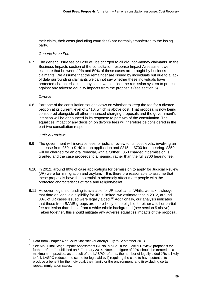their claim, their costs (including court fees) are normally transferred to the losing party.

#### *Generic Issue Fee*

6.7 The generic issue fee of £280 will be charged to all civil non-money claimants. In the Business Impacts section of the consultation response Impact Assessment we estimate that between 40% and 50% of these cases are brought by business claimants. We assume that the remainder are issued by individuals but due to a lack of data surrounding claimants we cannot say whether these individuals have protected characteristics. In any case, we consider the remission system to protect against any adverse equality impacts from the proposals (see section 5).

#### *Divorce*

6.8 Part one of the consultation sought views on whether to keep the fee for a divorce petition at its current level of £410, which is above cost. That proposal is now being considered alongside all other enhanced charging proposals and the government's intention will be announced in its response to part two of the consultation. The equalities impact of any decision on divorce fees will therefore be considered in the part two consultation response.

#### *Judicial Review:*

1

- 6.9 The government will increase fees for judicial review to full-cost levels, involving an increase from £60 to £140 for an application and £215 to £700 for a hearing. £350 will be charged for an oral renewal, with a further £350 charged if permission is granted and the case proceeds to a hearing, rather than the full £700 hearing fee.
- 6.10 In 2012, around 80% of case applications for permission to apply for Judicial Review  $J(R)$  were for immigration and asylum.<sup>[11](#page-61-0)</sup> It is therefore reasonable to assume that these proposals have the potential to adversely affect more people with the protected characteristics of race and religion/belief.
- 6.11 However, legal aid funding is available for JR applicants. Whilst we acknowledge that data on legal aid eligibility for JR is limited, we estimate that in 2012, around 30% of JR cases issued were legally aided.[12](#page-61-1) Additionally, our analysis indicates that those from BAME groups are more likely to be eligible for either a full or partial fee remission than those from a white ethnic background (see section 5 above). Taken together, this should mitigate any adverse equalities impacts of the proposal.

<span id="page-61-1"></span><span id="page-61-0"></span>

<sup>&</sup>lt;sup>11</sup> Data from Chapter 4 of [Court Statistics \(quarterly\) July to September 2013.](https://www.gov.uk/government/publications/court-statistics-quarterly-july-to-september-2013)<br><sup>12</sup> See MoJ Final Stage Impact Assessment (IA No. MoJ 210) for Judicial Review: proposals for [further reform](https://consult.justice.gov.uk/digital-communications/judicial-review) ", published on 5 February 2014. Note, the figure of 30% should be treated as a maximum. In practice, as a result of the LASPO reforms, the number of legally aided JRs is likely to fall. LASPO reduced the scope for legal aid by i) requiring the case to have potential to produce a benefit for the individual, their family or the environment; and ii) excluding certain repeat immigration cases.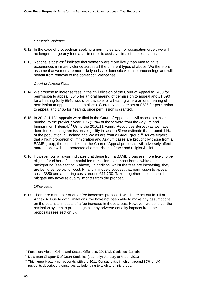#### *Domestic Violence*

- 6.12 In the case of proceedings seeking a non-molestation or occupation order, we will no longer charge any fees at all in order to assist victims of domestic abuse.
- 6.[13](#page-62-0) National statistics<sup>13</sup> indicate that women were more likely than men to have experienced intimate violence across all the different types of abuse. We therefore assume that women are more likely to issue domestic violence proceedings and will benefit from removal of the domestic violence fee.

#### *Court of Appeal Fees*

- 6.14 We propose to increase fees in the civil division of the Court of Appeal to £480 for permission to appeal, £545 for an oral hearing of permission to appeal and £1,090 for a hearing (only £545 would be payable for a hearing where an oral hearing of permission to appeal has taken place). Currently fees are set at £235 for permission to appeal and £465 for hearing, once permission is granted.
- 6.15 In 2012, 1,181 appeals were filed in the Court of Appeal on civil cases, a similar number to the previous year: 196 (17%) of these were from the Asylum and Immigration Tribunal.<sup>[14](#page-62-1)</sup> Using the 2010/11 Family Resources Survey (as we have done for estimating remissions eligibility in section 5) we estimate that around 11% of the population in England and Wales are from a BAME group.<sup>[15](#page-62-2)</sup> As we expect that a high proportion of Immigration and Asylum cases are brought by those from a BAME group, there is a risk that the Court of Appeal proposals will adversely affect more people with the protected characteristics of race and religion/belief.
- 6.16 However, our analysis indicates that those from a BAME group are more likely to be eligible for either a full or partial fee remission than those from a white ethnic background (see section 5 above). In addition, whilst the fees are increasing, they are being set below full cost. Financial models suggest that permission to appeal costs £850 and a hearing costs around £11,230. Taken together, these should mitigate any adverse quality impacts from the proposal.

#### *Other fees:*

6.17 There are a number of other fee increases proposed, which are set out in full at Annex A. Due to data limitations, we have not been able to make any assumptions on the potential impacts of a fee increase in these areas. However, we consider the remission system to protect against any adverse equality impacts from the proposals (see section 5).

-

<span id="page-62-0"></span><sup>&</sup>lt;sup>13</sup> [Focus](https://www.gov.uk/government/uploads/system/uploads/attachment_data/file/116483/hosb0212.pdf.) on: Violent Crime and Sexual Offences, 2011/12, Statistical Bulletin.

<span id="page-62-1"></span><sup>&</sup>lt;sup>14</sup> Data from Chapter 5 of Court Statistics (quarterly) January to March 2013.

<span id="page-62-2"></span> $15$  This figure broadly corresponds with the 2011 [Census data,](http://www.ons.gov.uk/ons/dcp171778_330610.pdf) in which around 87% of UK residents described themselves as belonging to a white ethnic group.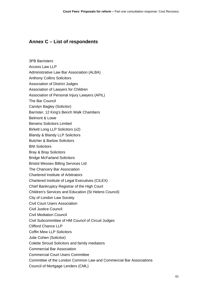## <span id="page-63-0"></span>**Annex C – List of respondents**

3PB Barristers Access Law LLP Administrative Law Bar Association (ALBA) Anthony Collins Solicitors Association of District Judges Association of Lawyers for Children Association of Personal Injury Lawyers (APIL) The Bar Council Carolyn Bagley (Solicitor) Barrister, 12 King's Bench Walk Chambers Belmont & Lowe Berwins Solicitors Limited Birkett Long LLP Solicitors (x2) Blandy & Blandy LLP Solicitors Butcher & Barlow Solicitors BNI Solicitors Bray & Bray Solicitors Bridge McFarland Solicitors Bristol Wessex Billing Services Ltd The Chancery Bar Association Chartered Institute of Arbitrators Chartered Institute of Legal Executives (CILEX) Chief Bankruptcy Registrar of the High Court Children's Services and Education (St Helens Council) City of London Law Society Civil Court Users Association Civil Justice Council Civil Mediation Council Civil Subcommittee of HM Council of Circuit Judges Clifford Chance LLP Coffin Mew LLP Solicitors Julie Cohen (Solicitor) Colette Stroud Solicitors and family mediators Commercial Bar Association Commercial Court Users Committee Committee of the London Common Law and Commercial Bar Associations Council of Mortgage Lenders (CML)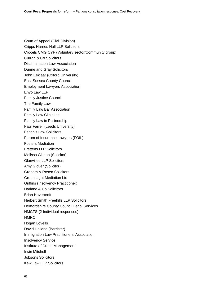- Court of Appeal (Civil Division)
- Cripps Harries Hall LLP Solicitors
- Crocels CMG CYF (Voluntary sector/Community group)
- Curran & Co Solicitors
- Discrimination Law Association
- Dunne and Gray Solicitors
- John Eeklaar (Oxford University)
- East Sussex County Council
- Employment Lawyers Association
- Enyo Law LLP
- Family Justice Council
- The Family Law
- Family Law Bar Association
- Family Law Clinic Ltd
- Family Law in Partnership
- Paul Farrell (Leeds University)
- Felton's Law Solicitors
- Forum of Insurance Lawyers (FOIL)
- Fosters Mediation
- Frettens LLP Solicitors
- Melissa Gilman (Solicitor)
- Glanvilles LLP Solicitors
- Amy Glover (Solicitor)
- Graham & Rosen Solicitors
- Green Light Mediation Ltd
- Griffins (Insolvency Practitioner)
- Harland & Co Solicitors
- Brian Havercroft
- Herbert Smith Freehills LLP Solicitors
- Hertfordshire County Council Legal Services
- HMCTS (2 Individual responses)
- HMRC
- Hogan Lovells
- David Holland (Barrister)
- Immigration Law Practitioners' Association
- Insolvency Service
- Institute of Credit Management
- Irwin Mitchell
- Jobsons Solicitors
- Kew Law LLP Solicitors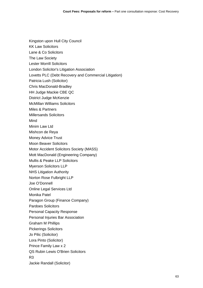Kingston upon Hull City Council

KK Law Solicitors

Lane & Co Solicitors

The Law Society

Lester Morrill Solicitors

London Solicitor's Litigation Association

Lovetts PLC (Debt Recovery and Commercial Litigation)

Patricia Lush (Solicitor)

Chris MacDonald-Bradley

HH Judge Mackie CBE QC

District Judge McKenzie

McMillan Williams Solicitors

Miles & Partners

Millersands Solicitors

Mind

Minim Law Ltd

Mishcon de Reya

Money Advice Trust

Moon Beaver Solicitors

Motor Accident Solicitors Society (MASS)

Mott MacDonald (Engineering Company)

Mullis & Peake LLP Solicitors

Myerson Solicitors LLP

NHS Litigation Authority

Norton Rose Fulbright LLP

Joe O'Donnell

Online Legal Services Ltd

Monika Patel

Paragon Group (Finance Company)

Pardoes Solicitors

Personal Capacity Response

Personal Injuries Bar Association

Graham M Phillips

Pickerings Solicitors

Jo Pilic (Solicitor)

Lora Pinto (Solicitor)

Prince Family Law x 2

QS Rubin Lewis O'Brien Solicitors

R3

Jackie Randall (Solicitor)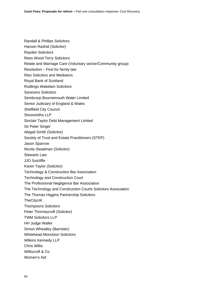- Randall & Phillips Solicitors
- Haroon Rashid (Solicitor)
- Rayden Solicitors
- Rees Wood Terry Solicitors
- Relate and Marriage Care (Voluntary sector/Community group)
- Resolution First for family law
- Ries Solicitors and Mediators
- Royal Bank of Scotland
- Rudlings Wakelam Solicitors
- Saracens Solicitors
- Sembcorp Bournemouth Water Limited
- Senior Judiciary of England & Wales
- Sheffield City Council
- Shoosmiths LLP
- Sinclair Taylor Debt Management Limited
- Sir Peter Singer
- Abigail Smith (Solicitor)
- Society of Trust and Estate Practitioners (STEP)
- Jason Sparrow
- Nicola Steadman (Solicitor)
- Stewarts Law
- JJO Sutcliffe
- Karen Taylor (Solicitor)
- Technology & Construction Bar Association
- Technology and Construction Court
- The Professional Negligence Bar Association
- The Technology and Construction Courts Solicitors Association
- The Thomas Higgins Partnership Solicitors
- TheCityUK
- Thompsons Solicitors
- Peter Thorneycroft (Solicitor)
- TWM Solicitors LLP
- HH Judge Waller
- Simon Wheatley (Barrister)
- Whitehead Monckton Solicitors
- Wilkins Kennedy LLP
- Chris Willis
- Williscroft & Co
- Women's Aid